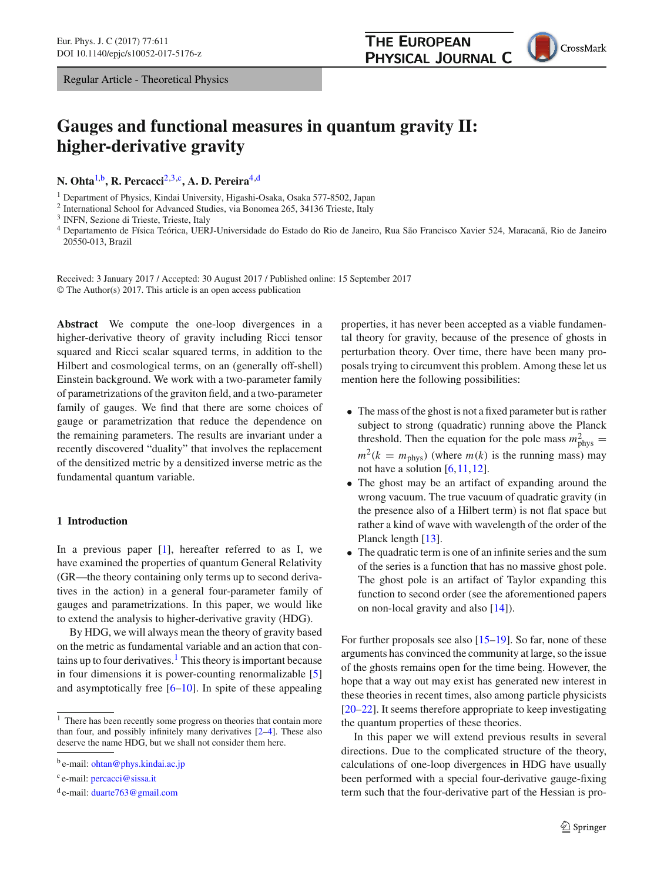## **THE EUROPEAN** PHYSICAL JOURNAL C



# **Gauges and functional measures in quantum gravity II: higher-derivative gravity**

**N. Ohta**[1,](#page-0-0)b**, R. Percacci**[2](#page-0-0)[,3,](#page-0-1)c**, A. D. Pereira**[4,](#page-0-2)d

<sup>1</sup> Department of Physics, Kindai University, Higashi-Osaka, Osaka 577-8502, Japan

<sup>2</sup> International School for Advanced Studies, via Bonomea 265, 34136 Trieste, Italy

<sup>3</sup> INFN, Sezione di Trieste, Trieste, Italy

<span id="page-0-2"></span><sup>4</sup> Departamento de Física Teórica, UERJ-Universidade do Estado do Rio de Janeiro, Rua São Francisco Xavier 524, Maracanã, Rio de Janeiro 20550-013, Brazil

Received: 3 January 2017 / Accepted: 30 August 2017 / Published online: 15 September 2017 © The Author(s) 2017. This article is an open access publication

**Abstract** We compute the one-loop divergences in a higher-derivative theory of gravity including Ricci tensor squared and Ricci scalar squared terms, in addition to the Hilbert and cosmological terms, on an (generally off-shell) Einstein background. We work with a two-parameter family of parametrizations of the graviton field, and a two-parameter family of gauges. We find that there are some choices of gauge or parametrization that reduce the dependence on the remaining parameters. The results are invariant under a recently discovered "duality" that involves the replacement of the densitized metric by a densitized inverse metric as the fundamental quantum variable.

## **1 Introduction**

In a previous paper [\[1](#page-16-0)], hereafter referred to as I, we have examined the properties of quantum General Relativity (GR—the theory containing only terms up to second derivatives in the action) in a general four-parameter family of gauges and parametrizations. In this paper, we would like to extend the analysis to higher-derivative gravity (HDG).

By HDG, we will always mean the theory of gravity based on the metric as fundamental variable and an action that contains up to four derivatives.<sup>1</sup> This theory is important because in four dimensions it is power-counting renormalizable [\[5\]](#page-16-1) and asymptotically free [\[6](#page-16-2)[–10\]](#page-16-3). In spite of these appealing

<sup>c</sup> e-mail: [percacci@sissa.it](mailto:percacci@sissa.it)

<span id="page-0-1"></span><span id="page-0-0"></span>properties, it has never been accepted as a viable fundamental theory for gravity, because of the presence of ghosts in perturbation theory. Over time, there have been many proposals trying to circumvent this problem. Among these let us mention here the following possibilities:

- The mass of the ghost is not a fixed parameter but is rather subject to strong (quadratic) running above the Planck threshold. Then the equation for the pole mass  $m_{\text{phys}}^2 =$  $m^2(k = m_{\text{phys}})$  (where  $m(k)$  is the running mass) may not have a solution  $[6, 11, 12]$  $[6, 11, 12]$  $[6, 11, 12]$ .
- The ghost may be an artifact of expanding around the wrong vacuum. The true vacuum of quadratic gravity (in the presence also of a Hilbert term) is not flat space but rather a kind of wave with wavelength of the order of the Planck length [\[13](#page-16-8)].
- The quadratic term is one of an infinite series and the sum of the series is a function that has no massive ghost pole. The ghost pole is an artifact of Taylor expanding this function to second order (see the aforementioned papers on non-local gravity and also [\[14\]](#page-16-9)).

For further proposals see also [\[15](#page-16-10)[–19](#page-16-11)]. So far, none of these arguments has convinced the community at large, so the issue of the ghosts remains open for the time being. However, the hope that a way out may exist has generated new interest in these theories in recent times, also among particle physicists [\[20](#page-16-12)[–22](#page-16-13)]. It seems therefore appropriate to keep investigating the quantum properties of these theories.

In this paper we will extend previous results in several directions. Due to the complicated structure of the theory, calculations of one-loop divergences in HDG have usually been performed with a special four-derivative gauge-fixing term such that the four-derivative part of the Hessian is pro-

<sup>&</sup>lt;sup>1</sup> There has been recently some progress on theories that contain more than four, and possibly infinitely many derivatives [\[2](#page-16-4)[–4](#page-16-5)]. These also deserve the name HDG, but we shall not consider them here.

<sup>b</sup> e-mail: [ohtan@phys.kindai.ac.jp](mailto:ohtan@phys.kindai.ac.jp)

 $d$  e-mail: duarte 763 $@$  gmail.com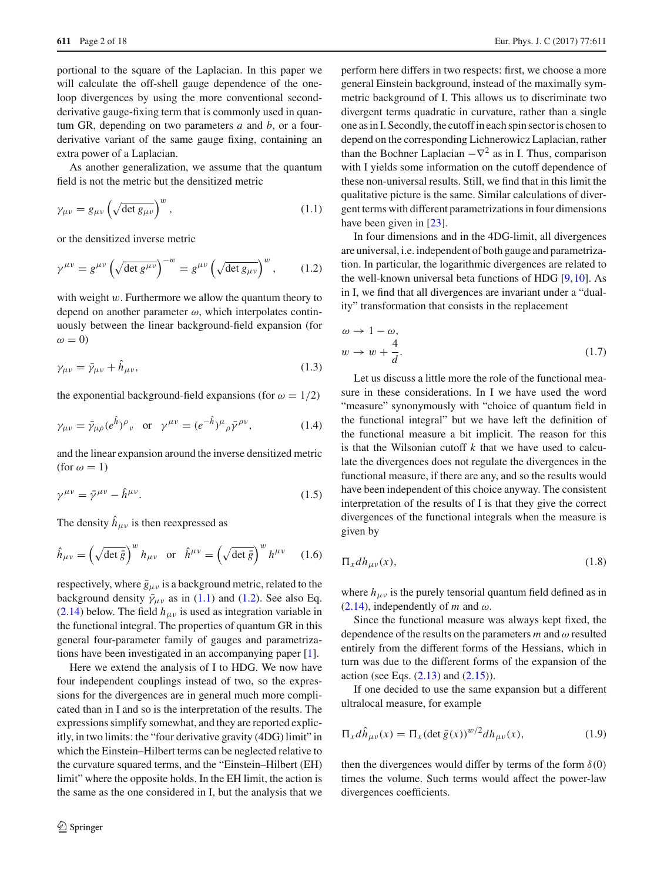portional to the square of the Laplacian. In this paper we will calculate the off-shell gauge dependence of the oneloop divergences by using the more conventional secondderivative gauge-fixing term that is commonly used in quantum GR, depending on two parameters *a* and *b*, or a fourderivative variant of the same gauge fixing, containing an extra power of a Laplacian.

As another generalization, we assume that the quantum field is not the metric but the densitized metric

$$
\gamma_{\mu\nu} = g_{\mu\nu} \left( \sqrt{\det g_{\mu\nu}} \right)^w, \tag{1.1}
$$

<span id="page-1-1"></span>or the densitized inverse metric

$$
\gamma^{\mu\nu} = g^{\mu\nu} \left( \sqrt{\det g^{\mu\nu}} \right)^{-w} = g^{\mu\nu} \left( \sqrt{\det g_{\mu\nu}} \right)^w, \qquad (1.2)
$$

with weight  $w$ . Furthermore we allow the quantum theory to depend on another parameter  $\omega$ , which interpolates continuously between the linear background-field expansion (for  $\omega = 0$ 

<span id="page-1-2"></span>
$$
\gamma_{\mu\nu} = \bar{\gamma}_{\mu\nu} + \hat{h}_{\mu\nu},\tag{1.3}
$$

the exponential background-field expansions (for  $\omega = 1/2$ )

$$
\gamma_{\mu\nu} = \bar{\gamma}_{\mu\rho} (e^{\hat{h}})^{\rho}{}_{\nu}
$$
 or  $\gamma^{\mu\nu} = (e^{-\hat{h}})^{\mu}{}_{\rho} \bar{\gamma}^{\rho\nu},$ \n(1.4)

<span id="page-1-4"></span>and the linear expansion around the inverse densitized metric (for  $\omega = 1$ )

$$
\gamma^{\mu\nu} = \bar{\gamma}^{\mu\nu} - \hat{h}^{\mu\nu}.
$$
\n(1.5)

The density  $\hat{h}_{\mu\nu}$  is then reexpressed as

$$
\hat{h}_{\mu\nu} = \left(\sqrt{\det \bar{g}}\right)^{w} h_{\mu\nu} \quad \text{or} \quad \hat{h}^{\mu\nu} = \left(\sqrt{\det \bar{g}}\right)^{w} h^{\mu\nu} \tag{1.6}
$$

respectively, where  $\bar{g}_{\mu\nu}$  is a background metric, related to the background density  $\bar{\gamma}_{\mu\nu}$  as in [\(1.1\)](#page-1-0) and [\(1.2\)](#page-1-1). See also Eq. [\(2.14\)](#page-3-0) below. The field  $h_{\mu\nu}$  is used as integration variable in the functional integral. The properties of quantum GR in this general four-parameter family of gauges and parametrizations have been investigated in an accompanying paper [\[1\]](#page-16-0).

Here we extend the analysis of I to HDG. We now have four independent couplings instead of two, so the expressions for the divergences are in general much more complicated than in I and so is the interpretation of the results. The expressions simplify somewhat, and they are reported explicitly, in two limits: the "four derivative gravity (4DG) limit" in which the Einstein–Hilbert terms can be neglected relative to the curvature squared terms, and the "Einstein–Hilbert (EH) limit" where the opposite holds. In the EH limit, the action is the same as the one considered in I, but the analysis that we perform here differs in two respects: first, we choose a more general Einstein background, instead of the maximally symmetric background of I. This allows us to discriminate two divergent terms quadratic in curvature, rather than a single one as in I. Secondly, the cutoff in each spin sector is chosen to depend on the corresponding Lichnerowicz Laplacian, rather than the Bochner Laplacian  $-\nabla^2$  as in I. Thus, comparison with I yields some information on the cutoff dependence of these non-universal results. Still, we find that in this limit the qualitative picture is the same. Similar calculations of divergent terms with different parametrizations in four dimensions have been given in [\[23](#page-16-14)].

<span id="page-1-0"></span>In four dimensions and in the 4DG-limit, all divergences are universal, i.e. independent of both gauge and parametrization. In particular, the logarithmic divergences are related to the well-known universal beta functions of HDG [\[9,](#page-16-15)[10\]](#page-16-3). As in I, we find that all divergences are invariant under a "duality" transformation that consists in the replacement

<span id="page-1-6"></span>
$$
\omega \to 1 - \omega,
$$
  
\n
$$
w \to w + \frac{4}{d}.
$$
\n(1.7)

<span id="page-1-3"></span>Let us discuss a little more the role of the functional measure in these considerations. In I we have used the word "measure" synonymously with "choice of quantum field in the functional integral" but we have left the definition of the functional measure a bit implicit. The reason for this is that the Wilsonian cutoff *k* that we have used to calculate the divergences does not regulate the divergences in the functional measure, if there are any, and so the results would have been independent of this choice anyway. The consistent interpretation of the results of I is that they give the correct divergences of the functional integrals when the measure is given by

<span id="page-1-5"></span>
$$
\Pi_x dh_{\mu\nu}(x),\tag{1.8}
$$

where  $h_{\mu\nu}$  is the purely tensorial quantum field defined as in [\(2.14\)](#page-3-0), independently of *m* and  $\omega$ .

Since the functional measure was always kept fixed, the dependence of the results on the parameters  $m$  and  $\omega$  resulted entirely from the different forms of the Hessians, which in turn was due to the different forms of the expansion of the action (see Eqs.  $(2.13)$  and  $(2.15)$ ).

If one decided to use the same expansion but a different ultralocal measure, for example

$$
\Pi_x d\hat{h}_{\mu\nu}(x) = \Pi_x (\det \bar{g}(x))^{w/2} dh_{\mu\nu}(x), \qquad (1.9)
$$

then the divergences would differ by terms of the form  $\delta(0)$ times the volume. Such terms would affect the power-law divergences coefficients.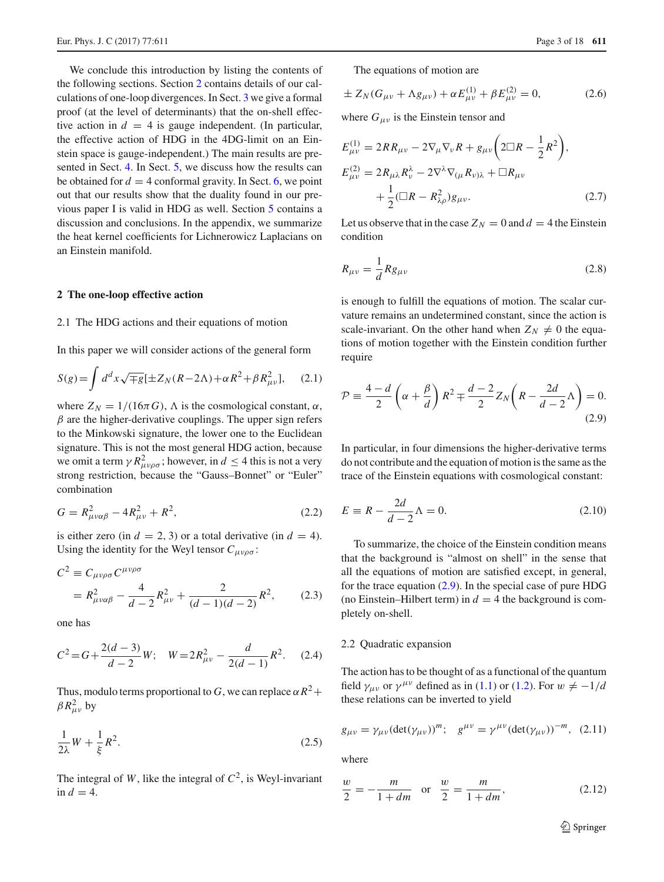We conclude this introduction by listing the contents of the following sections. Section [2](#page-2-0) contains details of our calculations of one-loop divergences. In Sect. [3](#page-8-0) we give a formal proof (at the level of determinants) that the on-shell effective action in  $d = 4$  is gauge independent. (In particular, the effective action of HDG in the 4DG-limit on an Einstein space is gauge-independent.) The main results are presented in Sect. [4.](#page-10-0) In Sect. [5,](#page-13-0) we discuss how the results can be obtained for  $d = 4$  conformal gravity. In Sect. [6,](#page-14-0) we point out that our results show that the duality found in our previous paper I is valid in HDG as well. Section [5](#page-13-0) contains a discussion and conclusions. In the appendix, we summarize the heat kernel coefficients for Lichnerowicz Laplacians on an Einstein manifold.

#### <span id="page-2-4"></span><span id="page-2-0"></span>**2 The one-loop effective action**

#### 2.1 The HDG actions and their equations of motion

In this paper we will consider actions of the general form

<span id="page-2-2"></span>
$$
S(g) = \int d^d x \sqrt{\mp g} \left[ \pm Z_N (R - 2\Lambda) + \alpha R^2 + \beta R_{\mu\nu}^2 \right], \quad (2.1)
$$

where  $Z_N = 1/(16\pi G)$ ,  $\Lambda$  is the cosmological constant,  $\alpha$ ,  $\beta$  are the higher-derivative couplings. The upper sign refers to the Minkowski signature, the lower one to the Euclidean signature. This is not the most general HDG action, because we omit a term  $\gamma R_{\mu\nu\rho\sigma}^2$ ; however, in  $d \leq 4$  this is not a very strong restriction, because the "Gauss–Bonnet" or "Euler" combination

$$
G = R_{\mu\nu\alpha\beta}^2 - 4R_{\mu\nu}^2 + R^2,\tag{2.2}
$$

is either zero (in  $d = 2, 3$ ) or a total derivative (in  $d = 4$ ). Using the identity for the Weyl tensor  $C_{\mu\nu\rho\sigma}$ :

$$
C^{2} \equiv C_{\mu\nu\rho\sigma} C^{\mu\nu\rho\sigma}
$$
  
=  $R^{2}_{\mu\nu\alpha\beta} - \frac{4}{d-2} R^{2}_{\mu\nu} + \frac{2}{(d-1)(d-2)} R^{2}$ , (2.3)

one has

$$
C^{2} = G + \frac{2(d-3)}{d-2}W; \quad W = 2R_{\mu\nu}^{2} - \frac{d}{2(d-1)}R^{2}.
$$
 (2.4)

Thus, modulo terms proportional to *G*, we can replace  $\alpha R^2 +$  $\beta R_{\mu\nu}^2$  by

$$
\frac{1}{2\lambda}W + \frac{1}{\xi}R^2.
$$
 (2.5)

The integral of *W*, like the integral of  $C^2$ , is Weyl-invariant in  $d = 4$ .

The equations of motion are

$$
\pm Z_N(G_{\mu\nu} + \Lambda g_{\mu\nu}) + \alpha E_{\mu\nu}^{(1)} + \beta E_{\mu\nu}^{(2)} = 0, \tag{2.6}
$$

where  $G_{\mu\nu}$  is the Einstein tensor and

$$
E_{\mu\nu}^{(1)} = 2RR_{\mu\nu} - 2\nabla_{\mu}\nabla_{\nu}R + g_{\mu\nu}\left(2\Box R - \frac{1}{2}R^2\right),
$$
  
\n
$$
E_{\mu\nu}^{(2)} = 2R_{\mu\lambda}R_{\nu}^{\lambda} - 2\nabla^{\lambda}\nabla_{(\mu}R_{\nu)\lambda} + \Box R_{\mu\nu}
$$
  
\n
$$
+ \frac{1}{2}(\Box R - R_{\lambda\rho}^2)g_{\mu\nu}.
$$
\n(2.7)

<span id="page-2-3"></span>Let us observe that in the case  $Z_N = 0$  and  $d = 4$  the Einstein condition

$$
R_{\mu\nu} = \frac{1}{d} R g_{\mu\nu} \tag{2.8}
$$

is enough to fulfill the equations of motion. The scalar curvature remains an undetermined constant, since the action is scale-invariant. On the other hand when  $Z_N \neq 0$  the equations of motion together with the Einstein condition further require

<span id="page-2-1"></span>
$$
\mathcal{P} \equiv \frac{4-d}{2} \left( \alpha + \frac{\beta}{d} \right) R^2 \mp \frac{d-2}{2} Z_N \left( R - \frac{2d}{d-2} \Lambda \right) = 0. \tag{2.9}
$$

In particular, in four dimensions the higher-derivative terms do not contribute and the equation of motion is the same as the trace of the Einstein equations with cosmological constant:

<span id="page-2-5"></span>
$$
E \equiv R - \frac{2d}{d - 2}\Lambda = 0.
$$
\n(2.10)

To summarize, the choice of the Einstein condition means that the background is "almost on shell" in the sense that all the equations of motion are satisfied except, in general, for the trace equation  $(2.9)$ . In the special case of pure HDG (no Einstein–Hilbert term) in  $d = 4$  the background is completely on-shell.

## 2.2 Quadratic expansion

The action has to be thought of as a functional of the quantum field  $\gamma_{\mu\nu}$  or  $\gamma^{\mu\nu}$  defined as in [\(1.1\)](#page-1-0) or [\(1.2\)](#page-1-1). For  $w \neq -1/d$ these relations can be inverted to yield

$$
g_{\mu\nu} = \gamma_{\mu\nu} (\det(\gamma_{\mu\nu}))^m; \quad g^{\mu\nu} = \gamma^{\mu\nu} (\det(\gamma_{\mu\nu}))^{-m}, \quad (2.11)
$$

where

$$
\frac{w}{2} = -\frac{m}{1+dm} \quad \text{or} \quad \frac{w}{2} = \frac{m}{1+dm},\tag{2.12}
$$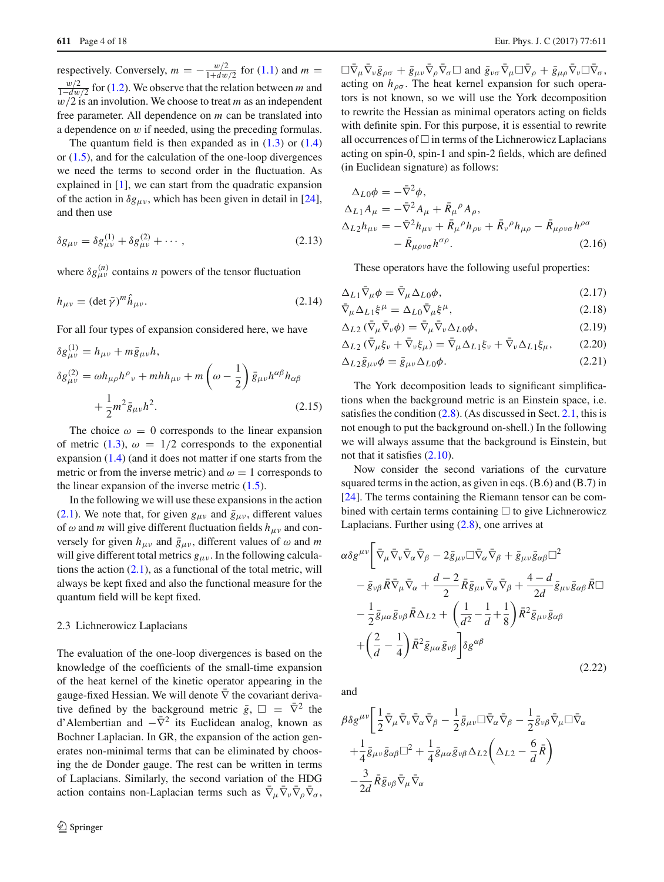respectively. Conversely,  $m = -\frac{w/2}{1+dw/2}$  for [\(1.1\)](#page-1-0) and  $m =$ *w*/2 for [\(1.2\)](#page-1-1). We observe that the relation between *m* and  $w/2$  is an involution. We choose to treat  $m$  as an independent free parameter. All dependence on *m* can be translated into a dependence on  $w$  if needed, using the preceding formulas.

The quantum field is then expanded as in  $(1.3)$  or  $(1.4)$ or [\(1.5\)](#page-1-4), and for the calculation of the one-loop divergences we need the terms to second order in the fluctuation. As explained in [\[1](#page-16-0)], we can start from the quadratic expansion of the action in  $\delta g_{\mu\nu}$ , which has been given in detail in [\[24](#page-16-16)], and then use

<span id="page-3-1"></span>
$$
\delta g_{\mu\nu} = \delta g_{\mu\nu}^{(1)} + \delta g_{\mu\nu}^{(2)} + \cdots, \qquad (2.13)
$$

where  $\delta g_{\mu\nu}^{(n)}$  contains *n* powers of the tensor fluctuation

$$
h_{\mu\nu} = (\det \bar{\gamma})^m \hat{h}_{\mu\nu}.
$$
\n(2.14)

For all four types of expansion considered here, we have

<span id="page-3-2"></span>
$$
\delta g_{\mu\nu}^{(1)} = h_{\mu\nu} + m\bar{g}_{\mu\nu}h,
$$
  
\n
$$
\delta g_{\mu\nu}^{(2)} = \omega h_{\mu\rho}h^{\rho}{}_{\nu} + m h h_{\mu\nu} + m\left(\omega - \frac{1}{2}\right)\bar{g}_{\mu\nu}h^{\alpha\beta}h_{\alpha\beta}
$$
  
\n
$$
+ \frac{1}{2}m^2\bar{g}_{\mu\nu}h^2.
$$
\n(2.15)

The choice  $\omega = 0$  corresponds to the linear expansion of metric [\(1.3\)](#page-1-2),  $\omega = 1/2$  corresponds to the exponential expansion [\(1.4\)](#page-1-3) (and it does not matter if one starts from the metric or from the inverse metric) and  $\omega = 1$  corresponds to the linear expansion of the inverse metric [\(1.5\)](#page-1-4).

In the following we will use these expansions in the action [\(2.1\)](#page-2-2). We note that, for given  $g_{\mu\nu}$  and  $\bar{g}_{\mu\nu}$ , different values of  $\omega$  and *m* will give different fluctuation fields  $h_{\mu\nu}$  and conversely for given  $h_{\mu\nu}$  and  $\bar{g}_{\mu\nu}$ , different values of  $\omega$  and *m* will give different total metrics  $g_{\mu\nu}$ . In the following calculations the action  $(2.1)$ , as a functional of the total metric, will always be kept fixed and also the functional measure for the quantum field will be kept fixed.

#### 2.3 Lichnerowicz Laplacians

The evaluation of the one-loop divergences is based on the knowledge of the coefficients of the small-time expansion of the heat kernel of the kinetic operator appearing in the gauge-fixed Hessian. We will denote  $\bar{\nabla}$  the covariant derivative defined by the background metric  $\bar{g}$ ,  $\Box = \bar{\nabla}^2$  the d'Alembertian and  $-\bar{\nabla}^2$  its Euclidean analog, known as Bochner Laplacian. In GR, the expansion of the action generates non-minimal terms that can be eliminated by choosing the de Donder gauge. The rest can be written in terms of Laplacians. Similarly, the second variation of the HDG action contains non-Laplacian terms such as  $\bar{\nabla}_{\mu} \bar{\nabla}_{\nu} \bar{\nabla}_{\sigma} \bar{\nabla}_{\sigma}$ ,

 $\Box \nabla_{\mu} \nabla_{\nu} \bar{g}_{\rho\sigma} + \bar{g}_{\mu\nu} \nabla_{\rho} \nabla_{\sigma} \Box$  and  $\bar{g}_{\nu\sigma} \nabla_{\mu} \Box \nabla_{\rho} + \bar{g}_{\mu\rho} \nabla_{\nu} \Box \nabla_{\sigma}$ , acting on  $h_{\rho\sigma}$ . The heat kernel expansion for such operators is not known, so we will use the York decomposition to rewrite the Hessian as minimal operators acting on fields with definite spin. For this purpose, it is essential to rewrite all occurrences of  $\Box$  in terms of the Lichnerowicz Laplacians acting on spin-0, spin-1 and spin-2 fields, which are defined (in Euclidean signature) as follows:

$$
\Delta_{L0}\phi = -\bar{\nabla}^{2}\phi,
$$
\n
$$
\Delta_{L1}A_{\mu} = -\bar{\nabla}^{2}A_{\mu} + \bar{R}_{\mu}{}^{\rho}A_{\rho},
$$
\n
$$
\Delta_{L2}h_{\mu\nu} = -\bar{\nabla}^{2}h_{\mu\nu} + \bar{R}_{\mu}{}^{\rho}h_{\rho\nu} + \bar{R}_{\nu}{}^{\rho}h_{\mu\rho} - \bar{R}_{\mu\rho\nu\sigma}h^{\rho\sigma}
$$
\n
$$
- \bar{R}_{\mu\rho\nu\sigma}h^{\sigma\rho}.
$$
\n(2.16)

These operators have the following useful properties:

<span id="page-3-3"></span><span id="page-3-0"></span>
$$
\Delta_{L1} \nabla_{\mu} \phi = \nabla_{\mu} \Delta_{L0} \phi, \qquad (2.17)
$$

$$
\bar{\nabla}_{\mu} \Delta_{L1} \xi^{\mu} = \Delta_{L0} \bar{\nabla}_{\mu} \xi^{\mu},\tag{2.18}
$$

$$
\Delta_{L2} \left( \nabla_{\mu} \nabla_{\nu} \phi \right) = \nabla_{\mu} \nabla_{\nu} \Delta_{L0} \phi, \tag{2.19}
$$

$$
\Delta_{L2} \left( \nabla_{\mu} \xi_{\nu} + \nabla_{\nu} \xi_{\mu} \right) = \nabla_{\mu} \Delta_{L1} \xi_{\nu} + \nabla_{\nu} \Delta_{L1} \xi_{\mu}, \tag{2.20}
$$

$$
\Delta_{L2}\bar{g}_{\mu\nu}\phi = \bar{g}_{\mu\nu}\Delta_{L0}\phi. \tag{2.21}
$$

The York decomposition leads to significant simplifications when the background metric is an Einstein space, i.e. satisfies the condition [\(2.8\)](#page-2-3). (As discussed in Sect. [2.1,](#page-2-4) this is not enough to put the background on-shell.) In the following we will always assume that the background is Einstein, but not that it satisfies [\(2.10\)](#page-2-5).

Now consider the second variations of the curvature squared terms in the action, as given in eqs. (B.6) and (B.7) in [\[24](#page-16-16)]. The terms containing the Riemann tensor can be combined with certain terms containing  $\Box$  to give Lichnerowicz Laplacians. Further using [\(2.8\)](#page-2-3), one arrives at

$$
\alpha \delta g^{\mu\nu} \Big[ \bar{\nabla}_{\mu} \bar{\nabla}_{\nu} \bar{\nabla}_{\alpha} \bar{\nabla}_{\beta} - 2 \bar{g}_{\mu\nu} \Box \bar{\nabla}_{\alpha} \bar{\nabla}_{\beta} + \bar{g}_{\mu\nu} \bar{g}_{\alpha\beta} \Box^{2} \n- \bar{g}_{\nu\beta} \bar{R} \bar{\nabla}_{\mu} \bar{\nabla}_{\alpha} + \frac{d-2}{2} \bar{R} \bar{g}_{\mu\nu} \bar{\nabla}_{\alpha} \bar{\nabla}_{\beta} + \frac{4-d}{2d} \bar{g}_{\mu\nu} \bar{g}_{\alpha\beta} \bar{R} \Box \n- \frac{1}{2} \bar{g}_{\mu\alpha} \bar{g}_{\nu\beta} \bar{R} \Delta_{L2} + \left( \frac{1}{d^2} - \frac{1}{d} + \frac{1}{8} \right) \bar{R}^2 \bar{g}_{\mu\nu} \bar{g}_{\alpha\beta} \n+ \left( \frac{2}{d} - \frac{1}{4} \right) \bar{R}^2 \bar{g}_{\mu\alpha} \bar{g}_{\nu\beta} \Big] \delta g^{\alpha\beta}
$$
\n(2.22)

and

$$
\beta \delta g^{\mu\nu} \left[ \frac{1}{2} \bar{\nabla}_{\mu} \bar{\nabla}_{\nu} \bar{\nabla}_{\alpha} \bar{\nabla}_{\beta} - \frac{1}{2} \bar{g}_{\mu\nu} \Box \bar{\nabla}_{\alpha} \bar{\nabla}_{\beta} - \frac{1}{2} \bar{g}_{\nu\beta} \bar{\nabla}_{\mu} \Box \bar{\nabla}_{\alpha} \right. \\
\left. + \frac{1}{4} \bar{g}_{\mu\nu} \bar{g}_{\alpha\beta} \Box^2 + \frac{1}{4} \bar{g}_{\mu\alpha} \bar{g}_{\nu\beta} \Delta_{L2} \left( \Delta_{L2} - \frac{6}{d} \bar{R} \right) \right. \\
\left. - \frac{3}{2d} \bar{R} \bar{g}_{\nu\beta} \bar{\nabla}_{\mu} \bar{\nabla}_{\alpha} \right]
$$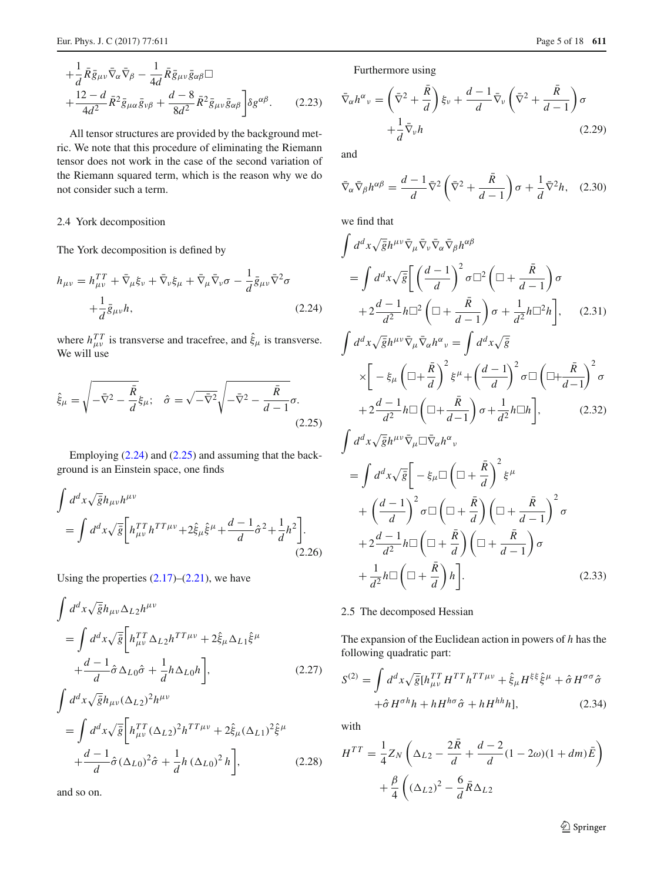$$
+\frac{1}{d}\bar{R}\bar{g}_{\mu\nu}\bar{\nabla}_{\alpha}\bar{\nabla}_{\beta} - \frac{1}{4d}\bar{R}\bar{g}_{\mu\nu}\bar{g}_{\alpha\beta} \Box +\frac{12-d}{4d^2}\bar{R}^2\bar{g}_{\mu\alpha}\bar{g}_{\nu\beta} + \frac{d-8}{8d^2}\bar{R}^2\bar{g}_{\mu\nu}\bar{g}_{\alpha\beta}\bigg] \delta g^{\alpha\beta}.
$$
 (2.23)

All tensor structures are provided by the background metric. We note that this procedure of eliminating the Riemann tensor does not work in the case of the second variation of the Riemann squared term, which is the reason why we do not consider such a term.

## 2.4 York decomposition

The York decomposition is defined by

<span id="page-4-0"></span>
$$
h_{\mu\nu} = h_{\mu\nu}^{TT} + \bar{\nabla}_{\mu}\xi_{\nu} + \bar{\nabla}_{\nu}\xi_{\mu} + \bar{\nabla}_{\mu}\bar{\nabla}_{\nu}\sigma - \frac{1}{d}\bar{g}_{\mu\nu}\bar{\nabla}^{2}\sigma
$$

$$
+ \frac{1}{d}\bar{g}_{\mu\nu}h,
$$
(2.24)

<span id="page-4-1"></span>where  $h_{\mu\nu}^{TT}$  is transverse and tracefree, and  $\hat{\xi}_{\mu}$  is transverse. We will use

$$
\hat{\xi}_{\mu} = \sqrt{-\bar{\nabla}^2 - \frac{\bar{R}}{d}} \xi_{\mu}; \quad \hat{\sigma} = \sqrt{-\bar{\nabla}^2} \sqrt{-\bar{\nabla}^2 - \frac{\bar{R}}{d-1}} \sigma.
$$
\n(2.25)

Employing [\(2.24\)](#page-4-0) and [\(2.25\)](#page-4-1) and assuming that the background is an Einstein space, one finds

$$
\int d^d x \sqrt{\bar{g}} h_{\mu\nu} h^{\mu\nu}
$$
\n
$$
= \int d^d x \sqrt{\bar{g}} \left[ h_{\mu\nu}^{TT} h^{TT\mu\nu} + 2 \hat{\xi}_{\mu} \hat{\xi}^{\mu} + \frac{d-1}{d} \hat{\sigma}^2 + \frac{1}{d} h^2 \right].
$$
\n(2.26)

Using the properties  $(2.17)$ – $(2.21)$ , we have

$$
\int d^d x \sqrt{\bar{g}} h_{\mu\nu} \Delta_{L2} h^{\mu\nu}
$$
\n
$$
= \int d^d x \sqrt{\bar{g}} \left[ h_{\mu\nu}^{TT} \Delta_{L2} h^{TT\mu\nu} + 2 \hat{\xi}_{\mu} \Delta_{L1} \hat{\xi}^{\mu} + \frac{d-1}{d} \hat{\sigma} \Delta_{L0} \hat{\sigma} + \frac{1}{d} h \Delta_{L0} h \right],
$$
\n(2.27)

$$
= \int d^{d}x \sqrt{\bar{g}} \left[ h_{\mu\nu}^{TT} (\Delta_{L2})^{2} h^{TT\mu\nu} + 2 \hat{\xi}_{\mu} (\Delta_{L1})^{2} \hat{\xi}^{\mu} + \frac{d-1}{d} \hat{\sigma} (\Delta_{L0})^{2} \hat{\sigma} + \frac{1}{d} h (\Delta_{L0})^{2} h \right],
$$
 (2.28)

and so on.

Furthermore using

$$
\bar{\nabla}_{\alpha} h^{\alpha}{}_{\nu} = \left(\bar{\nabla}^{2} + \frac{\bar{R}}{d}\right) \xi_{\nu} + \frac{d-1}{d} \bar{\nabla}_{\nu} \left(\bar{\nabla}^{2} + \frac{\bar{R}}{d-1}\right) \sigma + \frac{1}{d} \bar{\nabla}_{\nu} h
$$
\n(2.29)

and

$$
\bar{\nabla}_{\alpha}\bar{\nabla}_{\beta}h^{\alpha\beta} = \frac{d-1}{d}\bar{\nabla}^2\left(\bar{\nabla}^2 + \frac{\bar{R}}{d-1}\right)\sigma + \frac{1}{d}\bar{\nabla}^2h,\quad(2.30)
$$

we find that

$$
\int d^d x \sqrt{\bar{g}} h^{\mu\nu} \bar{\nabla}_{\mu} \bar{\nabla}_{\nu} \bar{\nabla}_{\alpha} \bar{\nabla}_{\beta} h^{\alpha\beta}
$$
\n
$$
= \int d^d x \sqrt{\bar{g}} \left[ \left( \frac{d-1}{d} \right)^2 \sigma \Box^2 \left( \Box + \frac{\bar{R}}{d-1} \right) \sigma \right.
$$
\n
$$
+ 2 \frac{d-1}{d^2} h \Box^2 \left( \Box + \frac{\bar{R}}{d-1} \right) \sigma + \frac{1}{d^2} h \Box^2 h \right], \quad (2.31)
$$
\n
$$
\int d^d x \sqrt{\bar{g}} h^{\mu\nu} \bar{\nabla}_{\mu} \bar{\nabla}_{\alpha} h^{\alpha}{}_{\nu} = \int d^d x \sqrt{\bar{g}}
$$

$$
\times \left[ -\xi_{\mu} \left( \Box + \frac{\bar{R}}{d} \right)^{2} \xi^{\mu} + \left( \frac{d-1}{d} \right)^{2} \sigma \Box \left( \Box + \frac{\bar{R}}{d-1} \right)^{2} \sigma + 2 \frac{d-1}{d^{2}} h \Box \left( \Box + \frac{\bar{R}}{d-1} \right) \sigma + \frac{1}{d^{2}} h \Box h \right], \tag{2.32}
$$

$$
\int d^d x \sqrt{\bar{g}} h^{\mu\nu} \bar{\nabla}_{\mu} \Box \bar{\nabla}_{\alpha} h^{\alpha}{}_{\nu}
$$
\n
$$
= \int d^d x \sqrt{\bar{g}} \Big[ -\xi_{\mu} \Box \left( \Box + \frac{\bar{R}}{d} \right)^2 \xi^{\mu}
$$
\n
$$
+ \left( \frac{d-1}{d} \right)^2 \sigma \Box \left( \Box + \frac{\bar{R}}{d} \right) \left( \Box + \frac{\bar{R}}{d-1} \right)^2 \sigma
$$
\n
$$
+ 2 \frac{d-1}{d^2} h \Box \left( \Box + \frac{\bar{R}}{d} \right) \left( \Box + \frac{\bar{R}}{d-1} \right) \sigma
$$
\n
$$
+ \frac{1}{d^2} h \Box \left( \Box + \frac{\bar{R}}{d} \right) h \Big]. \tag{2.33}
$$

## <span id="page-4-3"></span>2.5 The decomposed Hessian

The expansion of the Euclidean action in powers of *h* has the following quadratic part:

$$
S^{(2)} = \int d^d x \sqrt{\bar{g}} [h_{\mu\nu}^{TT} H^{TT} h^{TT\mu\nu} + \hat{\xi}_{\mu} H^{\xi\xi} \hat{\xi}^{\mu} + \hat{\sigma} H^{\sigma\sigma} \hat{\sigma} + \hat{\sigma} H^{\sigma h} h + h H^{h\sigma} \hat{\sigma} + h H^{hh} h],
$$
 (2.34)

with

<span id="page-4-2"></span>
$$
H^{TT} = \frac{1}{4} Z_N \left( \Delta_{L2} - \frac{2\overline{R}}{d} + \frac{d-2}{d} (1 - 2\omega)(1 + dm)\overline{E} \right)
$$

$$
+ \frac{\beta}{4} \left( (\Delta_{L2})^2 - \frac{6}{d} \overline{R} \Delta_{L2} \right)
$$

<sup>2</sup> Springer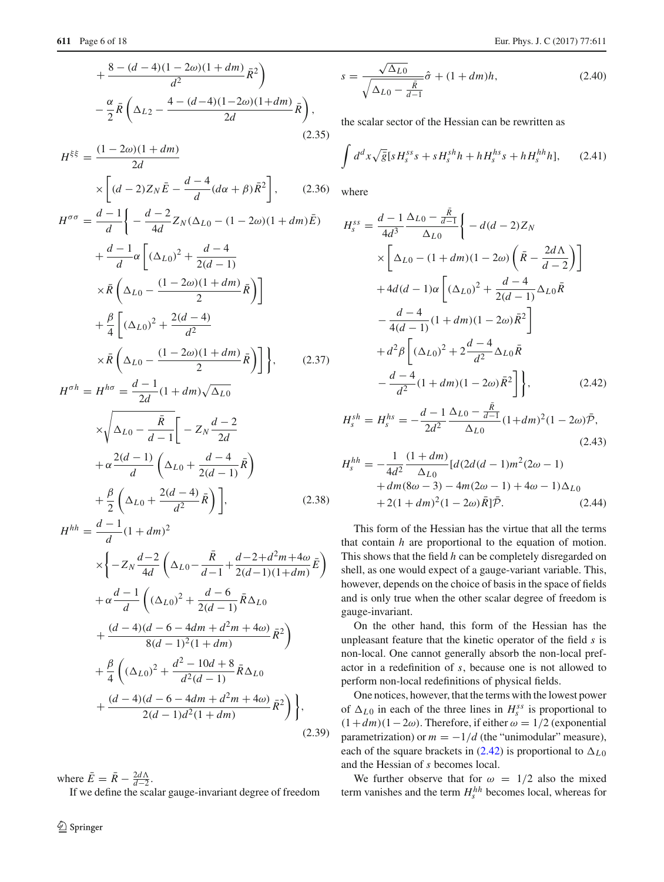$$
+\frac{8-(d-4)(1-2\omega)(1+dm)}{d^2}\bar{R}^2
$$

$$
-\frac{\alpha}{2}\bar{R}\left(\Delta_{L2}-\frac{4-(d-4)(1-2\omega)(1+dm)}{2d}\bar{R}\right),\tag{2.35}
$$

$$
H^{\xi\xi} = \frac{(1 - 2\omega)(1 + dm)}{2d}
$$
  
 
$$
\times \left[ (d - 2)Z_N \bar{E} - \frac{d - 4}{d} (d\alpha + \beta) \bar{R}^2 \right],
$$
 (2.36)

$$
H^{\sigma\sigma} = \frac{d-1}{d} \left\{ -\frac{d-2}{4d} Z_N (\Delta_{L0} - (1 - 2\omega)(1 + dm)\bar{E}) + \frac{d-1}{d} \alpha \left[ (\Delta_{L0})^2 + \frac{d-4}{2(d-1)} \right. \\ \times \bar{R} \left( \Delta_{L0} - \frac{(1 - 2\omega)(1 + dm)}{2} \bar{R} \right) \right] + \frac{\beta}{4} \left[ (\Delta_{L0})^2 + \frac{2(d-4)}{d^2} \right. \\ \times \bar{R} \left( \Delta_{L0} - \frac{(1 - 2\omega)(1 + dm)}{2} \bar{R} \right) \right], \qquad (2.37)
$$

$$
H^{\sigma h} = H^{h\sigma} = \frac{d-1}{2d}(1+d\pi)\sqrt{\Delta_{L0}}
$$
  

$$
\times \sqrt{\Delta_{L0} - \frac{\bar{R}}{d-1}} \left[ -Z_N \frac{d-2}{2d} + \alpha \frac{2(d-1)}{d} \left( \Delta_{L0} + \frac{d-4}{2(d-1)} \bar{R} \right) + \frac{\beta}{2} \left( \Delta_{L0} + \frac{2(d-4)}{d^2} \bar{R} \right) \right],
$$
 (2.38)

$$
H^{hh} = \frac{d-1}{d}(1+dm)^2
$$
  
\n
$$
\times \left\{-Z_N \frac{d-2}{4d} \left(\Delta_{L0} - \frac{\bar{R}}{d-1} + \frac{d-2+d^2m+4\omega}{2(d-1)(1+dm)} \bar{E}\right) + \alpha \frac{d-1}{d} \left((\Delta_{L0})^2 + \frac{d-6}{2(d-1)} \bar{R} \Delta_{L0} + \frac{(d-4)(d-6-4dm+d^2m+4\omega)}{8(d-1)^2(1+dm)} \bar{R}^2\right) + \frac{\beta}{4} \left((\Delta_{L0})^2 + \frac{d^2-10d+8}{d^2(d-1)} \bar{R} \Delta_{L0} + \frac{(d-4)(d-6-4dm+d^2m+4\omega)}{2(d-1)d^2(1+dm)} \bar{R}^2\right)\right\},
$$
\n(2.39)

where  $\bar{E} = \bar{R} - \frac{2d\Lambda}{d-2}$ . If we define the scalar gauge-invariant degree of freedom

<sup>2</sup> Springer

$$
s = \frac{\sqrt{\Delta_{L0}}}{\sqrt{\Delta_{L0} - \frac{\bar{R}}{d-1}}} \hat{\sigma} + (1 + dm)h,
$$
 (2.40)

the scalar sector of the Hessian can be rewritten as

$$
\int d^d x \sqrt{\bar{g}} \left[ s H_s^{ss} s + s H_s^{sh} h + h H_s^{hs} s + h H_s^{hh} h \right], \qquad (2.41)
$$

where

<span id="page-5-0"></span>
$$
H_{s}^{ss} = \frac{d-1}{4d^{3}} \frac{\Delta_{L0} - \frac{R}{d-1}}{\Delta_{L0}} \Biggl\{ -d(d-2)Z_{N}
$$
  
\n
$$
\times \Biggl[ \Delta_{L0} - (1+dm)(1-2\omega) \left( \bar{R} - \frac{2d\Lambda}{d-2} \right) \Biggr]
$$
  
\n
$$
+ 4d(d-1)\alpha \Biggl[ (\Delta_{L0})^{2} + \frac{d-4}{2(d-1)} \Delta_{L0} \bar{R}
$$
  
\n
$$
- \frac{d-4}{4(d-1)} (1+dm)(1-2\omega) \bar{R}^{2} \Biggr]
$$
  
\n
$$
+ d^{2}\beta \Biggl[ (\Delta_{L0})^{2} + 2 \frac{d-4}{d^{2}} \Delta_{L0} \bar{R}
$$
  
\n
$$
- \frac{d-4}{d^{2}} (1+dm)(1-2\omega) \bar{R}^{2} \Biggr] \Biggr\}, \qquad (2.42)
$$

$$
H_s^{sh} = H_s^{hs} = -\frac{d-1}{2d^2} \frac{\Delta_{L0} - \frac{R}{d-1}}{\Delta_{L0}} (1 + dm)^2 (1 - 2\omega) \bar{\mathcal{P}},
$$
\n
$$
1 \quad (1 + dm) \tag{2.43}
$$

$$
H_s^{hh} = -\frac{1}{4d^2} \frac{(1+dm)}{\Delta_{L0}} [d(2d(d-1)m^2(2\omega - 1) + dm(8\omega - 3) - 4m(2\omega - 1) + 4\omega - 1)\Delta_{L0} + 2(1+dm)^2(1-2\omega)\overline{R}]\overline{\mathcal{P}}.
$$
 (2.44)

This form of the Hessian has the virtue that all the terms that contain *h* are proportional to the equation of motion. This shows that the field *h* can be completely disregarded on shell, as one would expect of a gauge-variant variable. This, however, depends on the choice of basis in the space of fields and is only true when the other scalar degree of freedom is gauge-invariant.

On the other hand, this form of the Hessian has the unpleasant feature that the kinetic operator of the field *s* is non-local. One cannot generally absorb the non-local prefactor in a redefinition of *s*, because one is not allowed to perform non-local redefinitions of physical fields.

One notices, however, that the terms with the lowest power of  $\Delta_{L0}$  in each of the three lines in  $H_s^{ss}$  is proportional to  $(1+dm)(1-2\omega)$ . Therefore, if either  $\omega = 1/2$  (exponential parametrization) or  $m = -1/d$  (the "unimodular" measure), each of the square brackets in [\(2.42\)](#page-5-0) is proportional to  $\Delta_{L0}$ and the Hessian of *s* becomes local.

<span id="page-5-1"></span>We further observe that for  $\omega = 1/2$  also the mixed term vanishes and the term  $H_s^{hh}$  becomes local, whereas for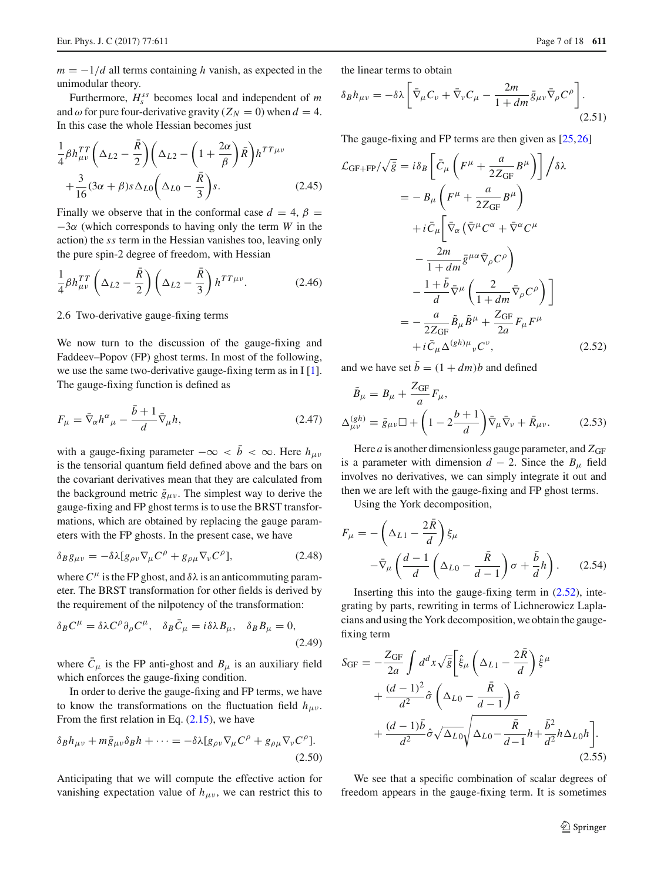Furthermore,  $H_s^{ss}$  becomes local and independent of *m* and  $\omega$  for pure four-derivative gravity ( $Z_N = 0$ ) when  $d = 4$ . In this case the whole Hessian becomes just

<span id="page-6-3"></span>
$$
\frac{1}{4}\beta h_{\mu\nu}^{TT}\left(\Delta_{L2}-\frac{\bar{R}}{2}\right)\left(\Delta_{L2}-\left(1+\frac{2\alpha}{\beta}\right)\bar{R}\right)h^{TT\mu\nu} \n+\frac{3}{16}(3\alpha+\beta)s\Delta_{L0}\left(\Delta_{L0}-\frac{\bar{R}}{3}\right)s.
$$
\n(2.45)

Finally we observe that in the conformal case  $d = 4$ ,  $\beta =$ −3α (which corresponds to having only the term *W* in the action) the *ss* term in the Hessian vanishes too, leaving only the pure spin-2 degree of freedom, with Hessian

<span id="page-6-5"></span>
$$
\frac{1}{4}\beta h_{\mu\nu}^{TT}\left(\Delta_{L2}-\frac{\bar{R}}{2}\right)\left(\Delta_{L2}-\frac{\bar{R}}{3}\right)h^{TT\mu\nu}.
$$
 (2.46)

## <span id="page-6-4"></span>2.6 Two-derivative gauge-fixing terms

We now turn to the discussion of the gauge-fixing and Faddeev–Popov (FP) ghost terms. In most of the following, we use the same two-derivative gauge-fixing term as in I [\[1](#page-16-0)]. The gauge-fixing function is defined as

$$
F_{\mu} = \bar{\nabla}_{\alpha} h^{\alpha}{}_{\mu} - \frac{\bar{b} + 1}{d} \bar{\nabla}_{\mu} h,
$$
\n(2.47)

with a gauge-fixing parameter  $-\infty < \bar{b} < \infty$ . Here  $h_{\mu\nu}$ is the tensorial quantum field defined above and the bars on the covariant derivatives mean that they are calculated from the background metric  $\bar{g}_{\mu\nu}$ . The simplest way to derive the gauge-fixing and FP ghost terms is to use the BRST transformations, which are obtained by replacing the gauge parameters with the FP ghosts. In the present case, we have

$$
\delta_B g_{\mu\nu} = -\delta\lambda [g_{\rho\nu}\nabla_\mu C^\rho + g_{\rho\mu}\nabla_\nu C^\rho],\tag{2.48}
$$

where  $C^{\mu}$  is the FP ghost, and  $\delta\lambda$  is an anticommuting parameter. The BRST transformation for other fields is derived by the requirement of the nilpotency of the transformation:

$$
\delta_B C^{\mu} = \delta \lambda C^{\rho} \partial_{\rho} C^{\mu}, \quad \delta_B \bar{C}_{\mu} = i \delta \lambda B_{\mu}, \quad \delta_B B_{\mu} = 0,
$$
\n(2.49)

where  $\overline{C}_{\mu}$  is the FP anti-ghost and  $B_{\mu}$  is an auxiliary field which enforces the gauge-fixing condition.

In order to derive the gauge-fixing and FP terms, we have to know the transformations on the fluctuation field  $h_{\mu\nu}$ . From the first relation in Eq.  $(2.15)$ , we have

$$
\delta_B h_{\mu\nu} + m\bar{g}_{\mu\nu}\delta_B h + \dots = -\delta\lambda [g_{\rho\nu}\nabla_\mu C^\rho + g_{\rho\mu}\nabla_\nu C^\rho].
$$
\n(2.50)

Anticipating that we will compute the effective action for vanishing expectation value of  $h_{\mu\nu}$ , we can restrict this to the linear terms to obtain

$$
\delta_B h_{\mu\nu} = -\delta\lambda \left[ \bar{\nabla}_{\mu} C_{\nu} + \bar{\nabla}_{\nu} C_{\mu} - \frac{2m}{1+dm} \bar{g}_{\mu\nu} \bar{\nabla}_{\rho} C^{\rho} \right].
$$
\n(2.51)

The gauge-fixing and FP terms are then given as [\[25,](#page-16-17)[26\]](#page-16-18)

<span id="page-6-0"></span>
$$
\mathcal{L}_{\text{GF+FP}}/\sqrt{\bar{g}} = i\delta_B \left[ \bar{C}_{\mu} \left( F^{\mu} + \frac{a}{2Z_{\text{GF}}} B^{\mu} \right) \right] / \delta \lambda
$$
  
\n
$$
= -B_{\mu} \left( F^{\mu} + \frac{a}{2Z_{\text{GF}}} B^{\mu} \right)
$$
  
\n
$$
+ i \bar{C}_{\mu} \left[ \bar{\nabla}_{\alpha} \left( \bar{\nabla}^{\mu} C^{\alpha} + \bar{\nabla}^{\alpha} C^{\mu} \right) \right]
$$
  
\n
$$
- \frac{2m}{1+dm} \bar{g}^{\mu \alpha} \bar{\nabla}_{\rho} C^{\rho} \right)
$$
  
\n
$$
- \frac{1+\bar{b}}{d} \bar{\nabla}^{\mu} \left( \frac{2}{1+dm} \bar{\nabla}_{\rho} C^{\rho} \right) \Big]
$$
  
\n
$$
= -\frac{a}{2Z_{\text{GF}}} \tilde{B}_{\mu} \tilde{B}^{\mu} + \frac{Z_{\text{GF}}}{2a} F_{\mu} F^{\mu}
$$
  
\n
$$
+ i \bar{C}_{\mu} \Delta^{(gh)\mu} {}_{\nu} C^{\nu}, \qquad (2.52)
$$

<span id="page-6-1"></span>and we have set  $\bar{b} = (1 + dm)b$  and defined

<span id="page-6-2"></span>
$$
\tilde{B}_{\mu} = B_{\mu} + \frac{Z_{\text{GF}}}{a} F_{\mu},
$$
\n
$$
\Delta_{\mu\nu}^{(gh)} \equiv \bar{g}_{\mu\nu} \Box + \left(1 - 2\frac{b+1}{d}\right) \bar{\nabla}_{\mu} \bar{\nabla}_{\nu} + \bar{R}_{\mu\nu}.
$$
\n(2.53)

Here *a* is another dimensionless gauge parameter, and  $Z_{\text{GF}}$ is a parameter with dimension  $d - 2$ . Since the  $B_{\mu}$  field involves no derivatives, we can simply integrate it out and then we are left with the gauge-fixing and FP ghost terms.

Using the York decomposition,

$$
F_{\mu} = -\left(\Delta_{L1} - \frac{2\bar{R}}{d}\right)\xi_{\mu}
$$

$$
-\bar{\nabla}_{\mu}\left(\frac{d-1}{d}\left(\Delta_{L0} - \frac{\bar{R}}{d-1}\right)\sigma + \frac{\bar{b}}{d}h\right). \tag{2.54}
$$

Inserting this into the gauge-fixing term in  $(2.52)$ , integrating by parts, rewriting in terms of Lichnerowicz Laplacians and using the York decomposition, we obtain the gaugefixing term

<span id="page-6-6"></span>
$$
S_{\text{GF}} = -\frac{Z_{\text{GF}}}{2a} \int d^d x \sqrt{\tilde{g}} \left[ \hat{\xi}_{\mu} \left( \Delta_{L1} - \frac{2\bar{R}}{d} \right) \hat{\xi}^{\mu} + \frac{(d-1)^2}{d^2} \hat{\sigma} \left( \Delta_{L0} - \frac{\bar{R}}{d-1} \right) \hat{\sigma} + \frac{(d-1)\bar{b}}{d^2} \hat{\sigma} \sqrt{\Delta_{L0}} \sqrt{\Delta_{L0} - \frac{\bar{R}}{d-1}} h + \frac{\bar{b}^2}{d^2} h \Delta_{L0} h \right].
$$
\n(2.55)

We see that a specific combination of scalar degrees of freedom appears in the gauge-fixing term. It is sometimes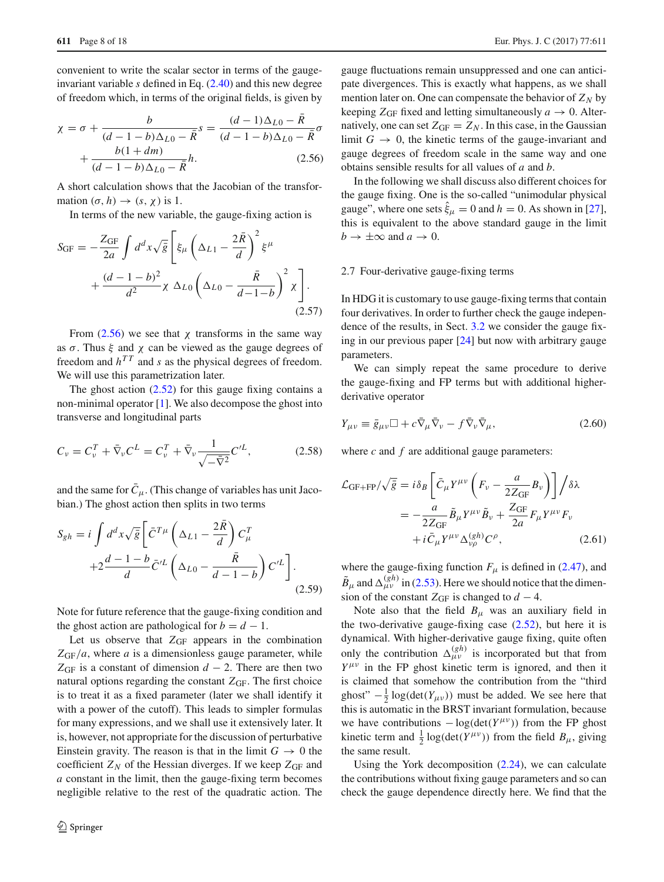convenient to write the scalar sector in terms of the gaugeinvariant variable *s* defined in Eq. [\(2.40\)](#page-5-1) and this new degree of freedom which, in terms of the original fields, is given by

<span id="page-7-0"></span>
$$
\chi = \sigma + \frac{b}{(d-1-b)\Delta_{L0} - \bar{R}}s = \frac{(d-1)\Delta_{L0} - R}{(d-1-b)\Delta_{L0} - \bar{R}}\sigma + \frac{b(1+dm)}{(d-1-b)\Delta_{L0} - \bar{R}}h.
$$
\n(2.56)

A short calculation shows that the Jacobian of the transformation  $(\sigma, h) \rightarrow (s, \chi)$  is 1.

In terms of the new variable, the gauge-fixing action is

<span id="page-7-2"></span>
$$
S_{\text{GF}} = -\frac{Z_{\text{GF}}}{2a} \int d^d x \sqrt{\bar{g}} \left[ \xi_\mu \left( \Delta_{L1} - \frac{2\bar{R}}{d} \right)^2 \xi^\mu \right. \\
\left. + \frac{(d-1-b)^2}{d^2} \chi \Delta_{L0} \left( \Delta_{L0} - \frac{\bar{R}}{d-1-b} \right)^2 \chi \right].
$$
\n(2.57)

From  $(2.56)$  we see that  $\chi$  transforms in the same way as  $\sigma$ . Thus  $\xi$  and  $\chi$  can be viewed as the gauge degrees of freedom and  $h^{TT}$  and *s* as the physical degrees of freedom. We will use this parametrization later.

The ghost action  $(2.52)$  for this gauge fixing contains a non-minimal operator [\[1](#page-16-0)]. We also decompose the ghost into transverse and longitudinal parts

$$
C_{\nu} = C_{\nu}^{T} + \bar{\nabla}_{\nu} C^{L} = C_{\nu}^{T} + \bar{\nabla}_{\nu} \frac{1}{\sqrt{-\bar{\nabla}^{2}}} C^{\prime L},
$$
 (2.58)

and the same for  $C_{\mu}$ . (This change of variables has unit Jacobian.) The ghost action then splits in two terms

<span id="page-7-3"></span>
$$
S_{gh} = i \int d^d x \sqrt{\bar{g}} \left[ \bar{C}^{T\mu} \left( \Delta_{L1} - \frac{2R}{d} \right) C^T_{\mu} + 2 \frac{d - 1 - b}{d} \bar{C}^{\prime L} \left( \Delta_{L0} - \frac{\bar{R}}{d - 1 - b} \right) C^{\prime L} \right].
$$
\n(2.59)

Note for future reference that the gauge-fixing condition and the ghost action are pathological for  $b = d - 1$ .

Let us observe that  $Z_{GF}$  appears in the combination *Z*GF/*a*, where *a* is a dimensionless gauge parameter, while  $Z_{GF}$  is a constant of dimension *d* − 2. There are then two natural options regarding the constant  $Z_{\text{GF}}$ . The first choice is to treat it as a fixed parameter (later we shall identify it with a power of the cutoff). This leads to simpler formulas for many expressions, and we shall use it extensively later. It is, however, not appropriate for the discussion of perturbative Einstein gravity. The reason is that in the limit  $G \rightarrow 0$  the coefficient  $Z_N$  of the Hessian diverges. If we keep  $Z_{GF}$  and *a* constant in the limit, then the gauge-fixing term becomes negligible relative to the rest of the quadratic action. The gauge fluctuations remain unsuppressed and one can anticipate divergences. This is exactly what happens, as we shall mention later on. One can compensate the behavior of  $Z_N$  by keeping  $Z_{\text{GF}}$  fixed and letting simultaneously  $a \to 0$ . Alternatively, one can set  $Z_{GF} = Z_N$ . In this case, in the Gaussian limit  $G \rightarrow 0$ , the kinetic terms of the gauge-invariant and gauge degrees of freedom scale in the same way and one obtains sensible results for all values of *a* and *b*.

In the following we shall discuss also different choices for the gauge fixing. One is the so-called "unimodular physical gauge", where one sets  $\xi_{\mu} = 0$  and  $h = 0$ . As shown in [\[27](#page-16-19)], this is equivalent to the above standard gauge in the limit  $b \to \pm \infty$  and  $a \to 0$ .

#### <span id="page-7-4"></span>2.7 Four-derivative gauge-fixing terms

In HDG it is customary to use gauge-fixing terms that contain four derivatives. In order to further check the gauge independence of the results, in Sect. [3.2](#page-8-1) we consider the gauge fixing in our previous paper [\[24\]](#page-16-16) but now with arbitrary gauge parameters.

We can simply repeat the same procedure to derive the gauge-fixing and FP terms but with additional higherderivative operator

$$
Y_{\mu\nu} \equiv \bar{g}_{\mu\nu} \Box + c \bar{\nabla}_{\mu} \bar{\nabla}_{\nu} - f \bar{\nabla}_{\nu} \bar{\nabla}_{\mu}, \qquad (2.60)
$$

where *c* and *f* are additional gauge parameters:

<span id="page-7-1"></span>
$$
\mathcal{L}_{\text{GF+FP}}/\sqrt{\bar{g}} = i\delta_B \left[ \bar{C}_{\mu} Y^{\mu\nu} \left( F_{\nu} - \frac{a}{2Z_{\text{GF}}} B_{\nu} \right) \right] / \delta \lambda
$$
  
= 
$$
-\frac{a}{2Z_{\text{GF}}} \tilde{B}_{\mu} Y^{\mu\nu} \tilde{B}_{\nu} + \frac{Z_{\text{GF}}}{2a} F_{\mu} Y^{\mu\nu} F_{\nu}
$$

$$
+ i \bar{C}_{\mu} Y^{\mu\nu} \Delta_{\nu\rho}^{(gh)} C^{\rho}, \qquad (2.61)
$$

where the gauge-fixing function  $F_{\mu}$  is defined in [\(2.47\)](#page-6-1), and  $\tilde{B}_{\mu}$  and  $\Delta_{\mu\nu}^{(gh)}$  in [\(2.53\)](#page-6-2). Here we should notice that the dimension of the constant  $Z_{GF}$  is changed to  $d - 4$ .

Note also that the field  $B_{\mu}$  was an auxiliary field in the two-derivative gauge-fixing case  $(2.52)$ , but here it is dynamical. With higher-derivative gauge fixing, quite often only the contribution  $\Delta_{\mu\nu}^{(gh)}$  is incorporated but that from  $Y^{\mu\nu}$  in the FP ghost kinetic term is ignored, and then it is claimed that somehow the contribution from the "third ghost"  $-\frac{1}{2} \log(\det(Y_{\mu\nu}))$  must be added. We see here that this is automatic in the BRST invariant formulation, because we have contributions  $-\log(\det(Y^{\mu\nu}))$  from the FP ghost kinetic term and  $\frac{1}{2}$  log(det( $Y^{\mu\nu}$ )) from the field  $B_{\mu}$ , giving the same result.

Using the York decomposition [\(2.24\)](#page-4-0), we can calculate the contributions without fixing gauge parameters and so can check the gauge dependence directly here. We find that the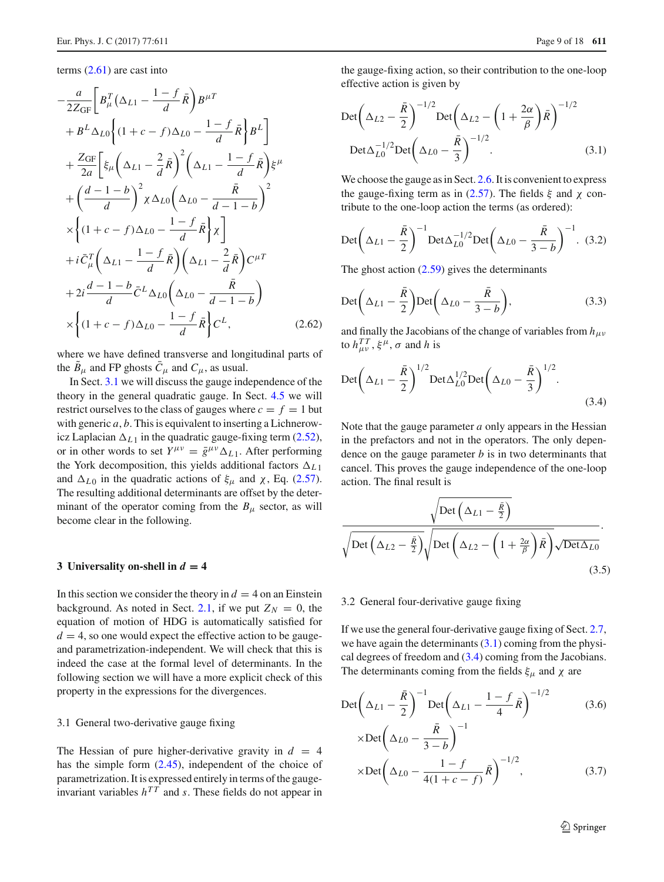terms [\(2.61\)](#page-7-1) are cast into

$$
-\frac{a}{2Z_{GF}}\left[B_{\mu}^{T}\left(\Delta_{L1}-\frac{1-f}{d}\bar{R}\right)B^{\mu T}\right]
$$

$$
+B^{L}\Delta_{L0}\left\{(1+c-f)\Delta_{L0}-\frac{1-f}{d}\bar{R}\right\}B^{L}\right]
$$

$$
+\frac{Z_{GF}}{2a}\left[\xi_{\mu}\left(\Delta_{L1}-\frac{2}{d}\bar{R}\right)^{2}\left(\Delta_{L1}-\frac{1-f}{d}\bar{R}\right)\xi^{\mu}
$$

$$
+\left(\frac{d-1-b}{d}\right)^{2}\chi\Delta_{L0}\left(\Delta_{L0}-\frac{\bar{R}}{d-1-b}\right)^{2}
$$

$$
\times\left\{(1+c-f)\Delta_{L0}-\frac{1-f}{d}\bar{R}\right\}\chi\right]
$$

$$
+i\bar{C}_{\mu}^{T}\left(\Delta_{L1}-\frac{1-f}{d}\bar{R}\right)\left(\Delta_{L1}-\frac{2}{d}\bar{R}\right)C^{\mu T}
$$

$$
+2i\frac{d-1-b}{d}\bar{C}^{L}\Delta_{L0}\left(\Delta_{L0}-\frac{\bar{R}}{d-1-b}\right)
$$

$$
\times\left\{(1+c-f)\Delta_{L0}-\frac{1-f}{d}\bar{R}\right\}C^{L},\qquad(2.62)
$$

where we have defined transverse and longitudinal parts of the  $\tilde{B}_{\mu}$  and FP ghosts  $\bar{C}_{\mu}$  and  $C_{\mu}$ , as usual.

In Sect. [3.1](#page-8-2) we will discuss the gauge independence of the theory in the general quadratic gauge. In Sect. [4.5](#page-12-0) we will restrict ourselves to the class of gauges where  $c = f = 1$  but with generic *a*, *b*. This is equivalent to inserting a Lichnerowicz Laplacian  $\Delta_{L1}$  in the quadratic gauge-fixing term [\(2.52\)](#page-6-0), or in other words to set  $Y^{\mu\nu} = \bar{g}^{\mu\nu} \Delta_{L,1}$ . After performing the York decomposition, this yields additional factors  $\Delta_{L1}$ and  $\Delta_{L0}$  in the quadratic actions of  $\xi_{\mu}$  and  $\chi$ , Eq. [\(2.57\)](#page-7-2). The resulting additional determinants are offset by the determinant of the operator coming from the  $B_{\mu}$  sector, as will become clear in the following.

#### <span id="page-8-0"></span>**3** Universality on-shell in  $d = 4$

In this section we consider the theory in  $d = 4$  on an Einstein background. As noted in Sect. [2.1,](#page-2-4) if we put  $Z_N = 0$ , the equation of motion of HDG is automatically satisfied for  $d = 4$ , so one would expect the effective action to be gaugeand parametrization-independent. We will check that this is indeed the case at the formal level of determinants. In the following section we will have a more explicit check of this property in the expressions for the divergences.

## <span id="page-8-2"></span>3.1 General two-derivative gauge fixing

The Hessian of pure higher-derivative gravity in  $d = 4$ has the simple form [\(2.45\)](#page-6-3), independent of the choice of parametrization. It is expressed entirely in terms of the gaugeinvariant variables  $h^{TT}$  and *s*. These fields do not appear in

the gauge-fixing action, so their contribution to the one-loop effective action is given by

<span id="page-8-3"></span>
$$
\operatorname{Det}\left(\Delta_{L2} - \frac{\bar{R}}{2}\right)^{-1/2} \operatorname{Det}\left(\Delta_{L2} - \left(1 + \frac{2\alpha}{\beta}\right)\bar{R}\right)^{-1/2}
$$
\n
$$
\operatorname{Det}\Delta_{L0}^{-1/2} \operatorname{Det}\left(\Delta_{L0} - \frac{\bar{R}}{3}\right)^{-1/2}.
$$
\n(3.1)

We choose the gauge as in Sect. [2.6.](#page-6-4) It is convenient to express the gauge-fixing term as in [\(2.57\)](#page-7-2). The fields  $\xi$  and  $\chi$  contribute to the one-loop action the terms (as ordered):

$$
\text{Det}\left(\Delta_{L1} - \frac{\bar{R}}{2}\right)^{-1} \text{Det}\Delta_{L0}^{-1/2} \text{Det}\left(\Delta_{L0} - \frac{\bar{R}}{3-b}\right)^{-1}.\tag{3.2}
$$

The ghost action  $(2.59)$  gives the determinants

$$
\text{Det}\bigg(\Delta_{L1} - \frac{\bar{R}}{2}\bigg) \text{Det}\bigg(\Delta_{L0} - \frac{\bar{R}}{3-b}\bigg),\tag{3.3}
$$

and finally the Jacobians of the change of variables from  $h_{\mu\nu}$ to  $h_{\mu\nu}^{TT}$ ,  $\xi^{\mu}$ ,  $\sigma$  and *h* is

<span id="page-8-4"></span>
$$
\text{Det}\left(\Delta_{L1} - \frac{\bar{R}}{2}\right)^{1/2} \text{Det}\Delta_{L0}^{1/2} \text{Det}\left(\Delta_{L0} - \frac{\bar{R}}{3}\right)^{1/2}.
$$
\n(3.4)

Note that the gauge parameter *a* only appears in the Hessian in the prefactors and not in the operators. The only dependence on the gauge parameter *b* is in two determinants that cancel. This proves the gauge independence of the one-loop action. The final result is

<span id="page-8-5"></span>
$$
\frac{\sqrt{\text{Det}\left(\Delta_{L1} - \frac{\bar{R}}{2}\right)}}{\sqrt{\text{Det}\left(\Delta_{L2} - \frac{\bar{R}}{2}\right)}\sqrt{\text{Det}\left(\Delta_{L2} - \left(1 + \frac{2\alpha}{\beta}\right)\bar{R}\right)}\sqrt{\text{Det}\Delta_{L0}}}.
$$
\n(3.5)

#### <span id="page-8-1"></span>3.2 General four-derivative gauge fixing

If we use the general four-derivative gauge fixing of Sect. [2.7,](#page-7-4) we have again the determinants  $(3.1)$  coming from the physical degrees of freedom and [\(3.4\)](#page-8-4) coming from the Jacobians. The determinants coming from the fields  $\xi_{\mu}$  and  $\chi$  are

$$
\text{Det}\left(\Delta_{L1} - \frac{\bar{R}}{2}\right)^{-1} \text{Det}\left(\Delta_{L1} - \frac{1 - f}{4}\bar{R}\right)^{-1/2} \qquad (3.6)
$$
\n
$$
\times \text{Det}\left(\Delta_{L0} - \frac{\bar{R}}{3 - b}\right)^{-1} \times \text{Det}\left(\Delta_{L0} - \frac{1 - f}{4(1 + c - f)}\bar{R}\right)^{-1/2}, \qquad (3.7)
$$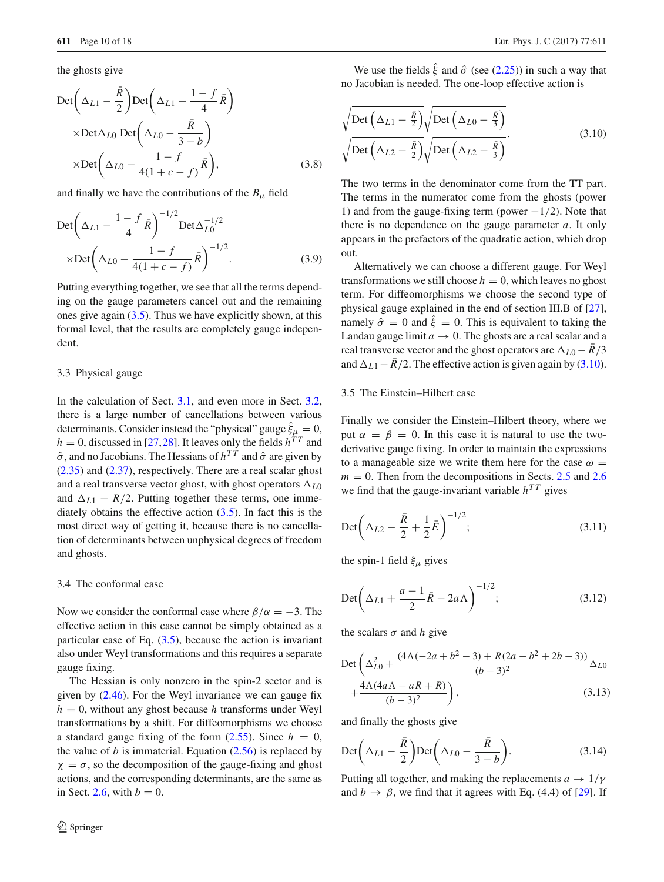the ghosts give

$$
\begin{aligned}\n\text{Det}\left(\Delta_{L1} - \frac{\bar{R}}{2}\right) \text{Det}\left(\Delta_{L1} - \frac{1-f}{4}\bar{R}\right) \\
\times \text{Det}\Delta_{L0} \text{ Det}\left(\Delta_{L0} - \frac{\bar{R}}{3-b}\right) \\
\times \text{Det}\left(\Delta_{L0} - \frac{1-f}{4(1+c-f)}\bar{R}\right),\n\end{aligned} \tag{3.8}
$$

and finally we have the contributions of the  $B_{\mu}$  field

$$
\text{Det}\left(\Delta_{L1} - \frac{1-f}{4}\bar{R}\right)^{-1/2} \text{Det}\Delta_{L0}^{-1/2}
$$

$$
\times \text{Det}\left(\Delta_{L0} - \frac{1-f}{4(1+c-f)}\bar{R}\right)^{-1/2}.
$$
(3.9)

Putting everything together, we see that all the terms depending on the gauge parameters cancel out and the remaining ones give again  $(3.5)$ . Thus we have explicitly shown, at this formal level, that the results are completely gauge independent.

#### 3.3 Physical gauge

In the calculation of Sect. [3.1,](#page-8-2) and even more in Sect. [3.2,](#page-8-1) there is a large number of cancellations between various determinants. Consider instead the "physical" gauge  $\xi_{\mu} = 0$ ,  $h = 0$ , discussed in [\[27,](#page-16-19)[28\]](#page-16-20). It leaves only the fields  $h^{TT}$  and  $\hat{\sigma}$ , and no Jacobians. The Hessians of  $h^{TT}$  and  $\hat{\sigma}$  are given by [\(2.35\)](#page-4-2) and [\(2.37\)](#page-4-2), respectively. There are a real scalar ghost and a real transverse vector ghost, with ghost operators  $\Delta_{L0}$ and  $\Delta_{L1} - R/2$ . Putting together these terms, one immediately obtains the effective action [\(3.5\)](#page-8-5). In fact this is the most direct way of getting it, because there is no cancellation of determinants between unphysical degrees of freedom and ghosts.

#### 3.4 The conformal case

Now we consider the conformal case where  $\beta/\alpha = -3$ . The effective action in this case cannot be simply obtained as a particular case of Eq.  $(3.5)$ , because the action is invariant also under Weyl transformations and this requires a separate gauge fixing.

The Hessian is only nonzero in the spin-2 sector and is given by [\(2.46\)](#page-6-5). For the Weyl invariance we can gauge fix  $h = 0$ , without any ghost because *h* transforms under Weyl transformations by a shift. For diffeomorphisms we choose a standard gauge fixing of the form  $(2.55)$ . Since  $h = 0$ , the value of *b* is immaterial. Equation  $(2.56)$  is replaced by  $\chi = \sigma$ , so the decomposition of the gauge-fixing and ghost actions, and the corresponding determinants, are the same as in Sect. [2.6,](#page-6-4) with  $b = 0$ .

We use the fields  $\hat{\xi}$  and  $\hat{\sigma}$  (see [\(2.25\)](#page-4-1)) in such a way that no Jacobian is needed. The one-loop effective action is

<span id="page-9-0"></span>
$$
\frac{\sqrt{\text{Det}\left(\Delta_{L1} - \frac{\bar{R}}{2}\right)}\sqrt{\text{Det}\left(\Delta_{L0} - \frac{\bar{R}}{3}\right)}}{\sqrt{\text{Det}\left(\Delta_{L2} - \frac{\bar{R}}{2}\right)}\sqrt{\text{Det}\left(\Delta_{L2} - \frac{\bar{R}}{3}\right)}}.
$$
\n(3.10)

The two terms in the denominator come from the TT part. The terms in the numerator come from the ghosts (power 1) and from the gauge-fixing term (power  $-1/2$ ). Note that there is no dependence on the gauge parameter *a*. It only appears in the prefactors of the quadratic action, which drop out.

Alternatively we can choose a different gauge. For Weyl transformations we still choose  $h = 0$ , which leaves no ghost term. For diffeomorphisms we choose the second type of physical gauge explained in the end of section III.B of [\[27](#page-16-19)], namely  $\hat{\sigma} = 0$  and  $\hat{\xi} = 0$ . This is equivalent to taking the Landau gauge limit  $a \to 0$ . The ghosts are a real scalar and a real transverse vector and the ghost operators are  $\Delta_{L0} - \bar{R}/3$ and  $\Delta_{L1} - \bar{R}/2$ . The effective action is given again by [\(3.10\)](#page-9-0).

## 3.5 The Einstein–Hilbert case

Finally we consider the Einstein–Hilbert theory, where we put  $\alpha = \beta = 0$ . In this case it is natural to use the twoderivative gauge fixing. In order to maintain the expressions to a manageable size we write them here for the case  $\omega =$  $m = 0$ . Then from the decompositions in Sects. [2.5](#page-4-3) and [2.6](#page-6-4) we find that the gauge-invariant variable  $h^{TT}$  gives

$$
Det\left(\Delta_{L2} - \frac{\bar{R}}{2} + \frac{1}{2}\bar{E}\right)^{-1/2};
$$
\n(3.11)

the spin-1 field  $\xi_{\mu}$  gives

$$
\text{Det}\left(\Delta_{L1} + \frac{a-1}{2}\bar{R} - 2a\Lambda\right)^{-1/2};\tag{3.12}
$$

the scalars  $\sigma$  and *h* give

$$
\begin{aligned} \text{Det} & \left( \Delta_{L0}^2 + \frac{(4\Lambda(-2a + b^2 - 3) + R(2a - b^2 + 2b - 3))}{(b - 3)^2} \Delta_{L0} \right. \\ & \left. + \frac{4\Lambda(4a\Lambda - aR + R)}{(b - 3)^2} \right), \end{aligned} \tag{3.13}
$$

and finally the ghosts give

$$
\text{Det}\bigg(\Delta_{L1} - \frac{\bar{R}}{2}\bigg) \text{Det}\bigg(\Delta_{L0} - \frac{\bar{R}}{3-b}\bigg). \tag{3.14}
$$

Putting all together, and making the replacements  $a \rightarrow 1/\gamma$ and  $b \rightarrow \beta$ , we find that it agrees with Eq. (4.4) of [\[29\]](#page-16-21). If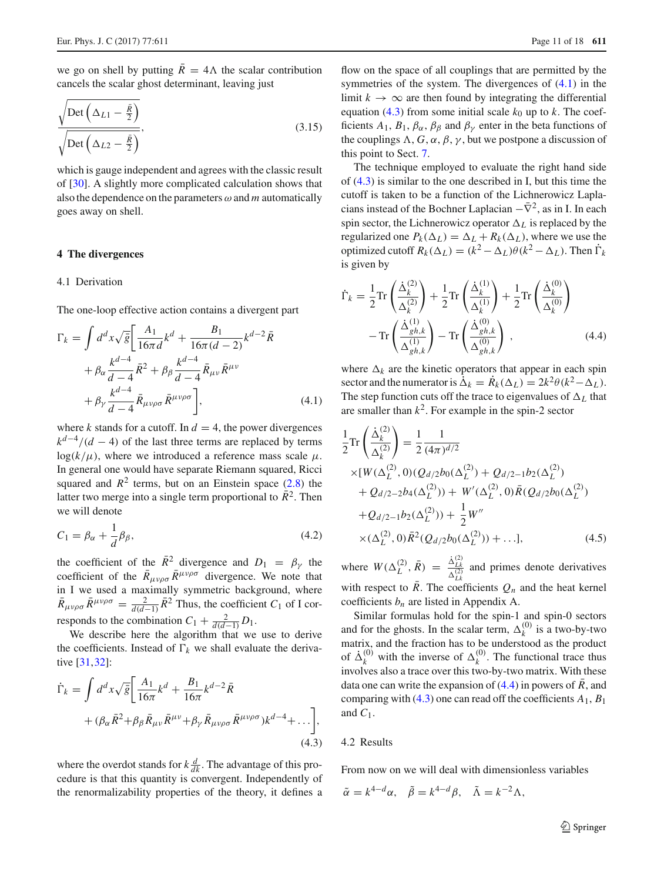we go on shell by putting  $\overline{R} = 4\Lambda$  the scalar contribution cancels the scalar ghost determinant, leaving just

$$
\frac{\sqrt{\text{Det}\left(\Delta_{L1} - \frac{\bar{R}}{2}\right)}}{\sqrt{\text{Det}\left(\Delta_{L2} - \frac{\bar{R}}{2}\right)}},\tag{3.15}
$$

which is gauge independent and agrees with the classic result of [\[30](#page-16-22)]. A slightly more complicated calculation shows that also the dependence on the parameters  $\omega$  and  $m$  automatically goes away on shell.

#### <span id="page-10-5"></span><span id="page-10-0"></span>**4 The divergences**

#### 4.1 Derivation

The one-loop effective action contains a divergent part

<span id="page-10-1"></span>
$$
\Gamma_{k} = \int d^{d}x \sqrt{\bar{g}} \left[ \frac{A_{1}}{16\pi d} k^{d} + \frac{B_{1}}{16\pi (d-2)} k^{d-2} \bar{R} + \beta_{\alpha} \frac{k^{d-4}}{d-4} \bar{R}^{2} + \beta_{\beta} \frac{k^{d-4}}{d-4} \bar{R}_{\mu\nu} \bar{R}^{\mu\nu} + \beta_{\gamma} \frac{k^{d-4}}{d-4} \bar{R}_{\mu\nu\rho\sigma} \bar{R}^{\mu\nu\rho\sigma} \right],
$$
\n(4.1)

where *k* stands for a cutoff. In  $d = 4$ , the power divergences  $k^{d-4}/(d-4)$  of the last three terms are replaced by terms  $log(k/\mu)$ , where we introduced a reference mass scale  $\mu$ . In general one would have separate Riemann squared, Ricci squared and  $R^2$  terms, but on an Einstein space  $(2.8)$  the latter two merge into a single term proportional to  $\bar{R}^2$ . Then we will denote

$$
C_1 = \beta_\alpha + \frac{1}{d}\beta_\beta,\tag{4.2}
$$

the coefficient of the  $\bar{R}^2$  divergence and  $D_1 = \beta_{\gamma}$  the coefficient of the  $\bar{R}_{\mu\nu\rho\sigma} \bar{R}^{\mu\nu\rho\sigma}$  divergence. We note that in I we used a maximally symmetric background, where  $\bar{R}_{\mu\nu\rho\sigma} \,\bar{R}^{\mu\nu\rho\sigma} = \frac{2}{d(d-1)} \,\bar{R}^2$  Thus, the coefficient *C*<sub>1</sub> of I corresponds to the combination  $C_1 + \frac{2}{d(d-1)}D_1$ .

We describe here the algorithm that we use to derive the coefficients. Instead of  $\Gamma_k$  we shall evaluate the derivative [\[31](#page-16-23),[32\]](#page-16-24):

<span id="page-10-2"></span>
$$
\dot{\Gamma}_k = \int d^d x \sqrt{\bar{g}} \left[ \frac{A_1}{16\pi} k^d + \frac{B_1}{16\pi} k^{d-2} \bar{R} + (\beta_\alpha \bar{R}^2 + \beta_\beta \bar{R}_{\mu\nu} \bar{R}^{\mu\nu} + \beta_\gamma \bar{R}_{\mu\nu\rho\sigma} \bar{R}^{\mu\nu\rho\sigma}) k^{d-4} + \dots \right],
$$
\n(4.3)

where the overdot stands for  $k \frac{d}{dk}$ . The advantage of this procedure is that this quantity is convergent. Independently of the renormalizability properties of the theory, it defines a

flow on the space of all couplings that are permitted by the symmetries of the system. The divergences of [\(4.1\)](#page-10-1) in the limit  $k \to \infty$  are then found by integrating the differential equation [\(4.3\)](#page-10-2) from some initial scale  $k_0$  up to  $k$ . The coefficients  $A_1$ ,  $B_1$ ,  $\beta_\alpha$ ,  $\beta_\beta$  and  $\beta_\gamma$  enter in the beta functions of the couplings  $\Lambda$ ,  $G$ ,  $\alpha$ ,  $\beta$ ,  $\gamma$ , but we postpone a discussion of this point to Sect. [7.](#page-14-1)

The technique employed to evaluate the right hand side of [\(4.3\)](#page-10-2) is similar to the one described in I, but this time the cutoff is taken to be a function of the Lichnerowicz Laplacians instead of the Bochner Laplacian  $-\bar{\nabla}^2$ , as in I. In each spin sector, the Lichnerowicz operator  $\Delta_L$  is replaced by the regularized one  $P_k(\Delta_L) = \Delta_L + R_k(\Delta_L)$ , where we use the optimized cutoff  $R_k(\Delta_l) = (k^2 - \Delta_l)\theta(k^2 - \Delta_l)$ . Then  $\dot{\Gamma}_k$ is given by

<span id="page-10-3"></span>
$$
\dot{\Gamma}_k = \frac{1}{2} \text{Tr} \left( \frac{\dot{\Delta}_k^{(2)}}{\Delta_k^{(2)}} \right) + \frac{1}{2} \text{Tr} \left( \frac{\dot{\Delta}_k^{(1)}}{\Delta_k^{(1)}} \right) + \frac{1}{2} \text{Tr} \left( \frac{\dot{\Delta}_k^{(0)}}{\Delta_k^{(0)}} \right)
$$

$$
- \text{Tr} \left( \frac{\dot{\Delta}_{gh,k}^{(1)}}{\Delta_{gh,k}^{(1)}} \right) - \text{Tr} \left( \frac{\dot{\Delta}_{gh,k}^{(0)}}{\Delta_{gh,k}^{(0)}} \right) , \qquad (4.4)
$$

where  $\Delta_k$  are the kinetic operators that appear in each spin sector and the numerator is  $\dot{\Delta}_k = \dot{R}_k(\Delta_L) = 2k^2 \theta (k^2 - \Delta_L)$ . The step function cuts off the trace to eigenvalues of  $\Delta_l$  that are smaller than  $k^2$ . For example in the spin-2 sector

$$
\frac{1}{2}\text{Tr}\left(\frac{\dot{\Delta}_k^{(2)}}{\Delta_k^{(2)}}\right) = \frac{1}{2}\frac{1}{(4\pi)^{d/2}}\n\times [W(\Delta_L^{(2)}, 0)(Q_{d/2}b_0(\Delta_L^{(2)}) + Q_{d/2-1}b_2(\Delta_L^{(2)}))\n+ Q_{d/2-2}b_4(\Delta_L^{(2)})) + W'(\Delta_L^{(2)}, 0)\bar{R}(Q_{d/2}b_0(\Delta_L^{(2)}))\n+ Q_{d/2-1}b_2(\Delta_L^{(2)})) + \frac{1}{2}W''\n\times (\Delta_L^{(2)}, 0)\bar{R}^2(Q_{d/2}b_0(\Delta_L^{(2)})) + \dots],
$$
\n(4.5)

where  $W(\Delta_L^{(2)}, \bar{R}) = \frac{\dot{\Delta}_{Lk}^{(2)}}{\Delta_{Lk}^{(2)}}$  and primes denote derivatives with respect to  $\overline{R}$ . The coefficients  $Q_n$  and the heat kernel coefficients *bn* are listed in Appendix A.

Similar formulas hold for the spin-1 and spin-0 sectors and for the ghosts. In the scalar term,  $\Delta_k^{(0)}$  is a two-by-two matrix, and the fraction has to be understood as the product of  $\dot{\Delta}_k^{(0)}$  with the inverse of  $\Delta_k^{(0)}$ . The functional trace thus involves also a trace over this two-by-two matrix. With these data one can write the expansion of  $(4.4)$  in powers of  $\overline{R}$ , and comparing with  $(4.3)$  one can read off the coefficients  $A_1$ ,  $B_1$ and  $C_1$ .

## 4.2 Results

From now on we will deal with dimensionless variables

<span id="page-10-4"></span> $\tilde{\alpha} = k^{4-d}\alpha$ ,  $\tilde{\beta} = k^{4-d}\beta$ ,  $\tilde{\Lambda} = k^{-2}\Lambda$ ,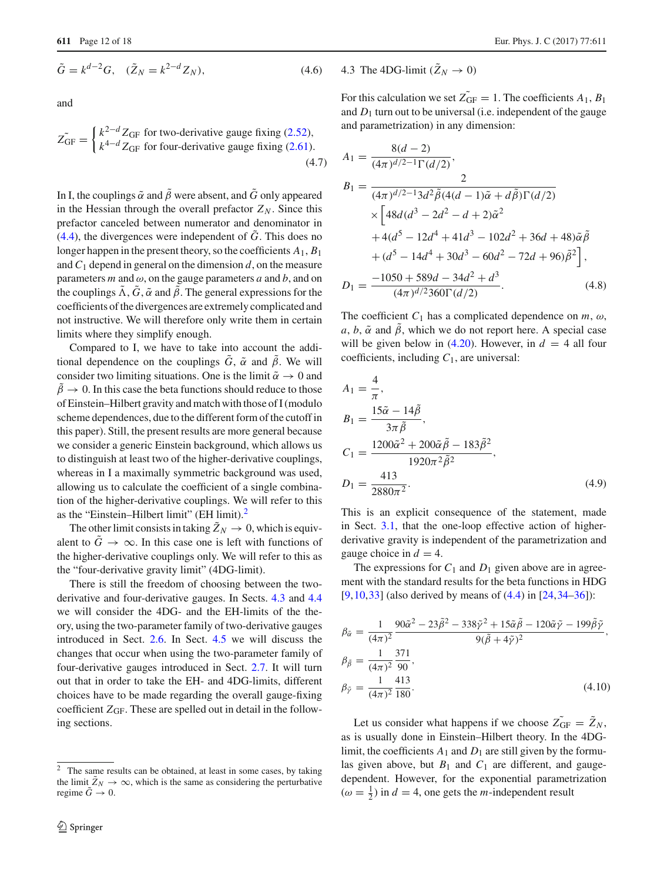$$
\tilde{G} = k^{d-2}G, \quad (\tilde{Z}_N = k^{2-d}Z_N), \tag{4.6}
$$

and

$$
\tilde{Z_{\rm GF}} = \begin{cases} k^{2-d} Z_{\rm GF} \text{ for two-derivative gauge fixing (2.52),} \\ k^{4-d} Z_{\rm GF} \text{ for four-derivative gauge fixing (2.61).} \end{cases}
$$
\n(4.7)

In I, the couplings  $\tilde{\alpha}$  and  $\tilde{\beta}$  were absent, and  $\tilde{G}$  only appeared in the Hessian through the overall prefactor  $Z_N$ . Since this prefactor canceled between numerator and denominator in  $(4.4)$ , the divergences were independent of  $\tilde{G}$ . This does no longer happen in the present theory, so the coefficients *A*1, *B*<sup>1</sup> and  $C_1$  depend in general on the dimension  $d$ , on the measure parameters  $m$  and  $\omega$ , on the gauge parameters  $a$  and  $b$ , and on the couplings  $\tilde{\Lambda}$ ,  $\tilde{G}$ ,  $\tilde{\alpha}$  and  $\tilde{\beta}$ . The general expressions for the coefficients of the divergences are extremely complicated and not instructive. We will therefore only write them in certain limits where they simplify enough.

Compared to I, we have to take into account the additional dependence on the couplings  $\tilde{G}$ ,  $\tilde{\alpha}$  and  $\tilde{\beta}$ . We will consider two limiting situations. One is the limit  $\tilde{\alpha} \rightarrow 0$  and  $\tilde{\beta} \rightarrow 0$ . In this case the beta functions should reduce to those of Einstein–Hilbert gravity and match with those of I (modulo scheme dependences, due to the different form of the cutoff in this paper). Still, the present results are more general because we consider a generic Einstein background, which allows us to distinguish at least two of the higher-derivative couplings, whereas in I a maximally symmetric background was used, allowing us to calculate the coefficient of a single combination of the higher-derivative couplings. We will refer to this as the "Einstein–Hilbert limit" (EH limit).<sup>[2](#page-11-0)</sup>

The other limit consists in taking  $\tilde{Z}_N \rightarrow 0$ , which is equivalent to  $\tilde{G} \rightarrow \infty$ . In this case one is left with functions of the higher-derivative couplings only. We will refer to this as the "four-derivative gravity limit" (4DG-limit).

There is still the freedom of choosing between the twoderivative and four-derivative gauges. In Sects. [4.3](#page-11-1) and [4.4](#page-12-1) we will consider the 4DG- and the EH-limits of the theory, using the two-parameter family of two-derivative gauges introduced in Sect. [2.6.](#page-6-4) In Sect. [4.5](#page-12-0) we will discuss the changes that occur when using the two-parameter family of four-derivative gauges introduced in Sect. [2.7.](#page-7-4) It will turn out that in order to take the EH- and 4DG-limits, different choices have to be made regarding the overall gauge-fixing coefficient *Z*GF. These are spelled out in detail in the following sections.

## <span id="page-11-1"></span>4.3 The 4DG-limit  $(\tilde{Z}_N \rightarrow 0)$

For this calculation we set  $Z_{GF} = 1$ . The coefficients  $A_1$ ,  $B_1$ and  $D_1$  turn out to be universal (i.e. independent of the gauge and parametrization) in any dimension:

<span id="page-11-3"></span>
$$
A_1 = \frac{8(d-2)}{(4\pi)^{d/2-1}\Gamma(d/2)},
$$
  
\n
$$
B_1 = \frac{2}{(4\pi)^{d/2-1}3d^2\tilde{\beta}(4(d-1)\tilde{\alpha}+d\tilde{\beta})\Gamma(d/2)}
$$
  
\n
$$
\times \left[48d(d^3-2d^2-d+2)\tilde{\alpha}^2 + 4(d^5-12d^4+41d^3-102d^2+36d+48)\tilde{\alpha}\tilde{\beta} + (d^5-14d^4+30d^3-60d^2-72d+96)\tilde{\beta}^2\right],
$$
  
\n
$$
D_1 = \frac{-1050+589d-34d^2+d^3}{(4\pi)^{d/2}360\Gamma(d/2)}.
$$
 (4.8)

The coefficient  $C_1$  has a complicated dependence on  $m$ ,  $\omega$ , *a*, *b*,  $\tilde{\alpha}$  and  $\tilde{\beta}$ , which we do not report here. A special case will be given below in  $(4.20)$ . However, in  $d = 4$  all four coefficients, including *C*1, are universal:

<span id="page-11-2"></span>
$$
A_1 = \frac{4}{\pi},
$$
  
\n
$$
B_1 = \frac{15\tilde{\alpha} - 14\tilde{\beta}}{3\pi \tilde{\beta}},
$$
  
\n
$$
C_1 = \frac{1200\tilde{\alpha}^2 + 200\tilde{\alpha}\tilde{\beta} - 183\tilde{\beta}^2}{1920\pi^2 \tilde{\beta}^2},
$$
  
\n
$$
D_1 = \frac{413}{2880\pi^2}.
$$
\n(4.9)

This is an explicit consequence of the statement, made in Sect. [3.1,](#page-8-2) that the one-loop effective action of higherderivative gravity is independent of the parametrization and gauge choice in  $d = 4$ .

The expressions for  $C_1$  and  $D_1$  given above are in agreement with the standard results for the beta functions in HDG [\[9](#page-16-15),[10,](#page-16-3)[33\]](#page-16-25) (also derived by means of [\(4.4\)](#page-10-3) in [\[24](#page-16-16)[,34](#page-16-26)[–36](#page-17-0)]):

$$
\beta_{\tilde{\alpha}} = \frac{1}{(4\pi)^2} \frac{90\tilde{\alpha}^2 - 23\tilde{\beta}^2 - 338\tilde{\gamma}^2 + 15\tilde{\alpha}\tilde{\beta} - 120\tilde{\alpha}\tilde{\gamma} - 199\tilde{\beta}\tilde{\gamma}}{9(\tilde{\beta} + 4\tilde{\gamma})^2},
$$
  
\n
$$
\beta_{\tilde{\beta}} = \frac{1}{(4\pi)^2} \frac{371}{90},
$$
  
\n
$$
\beta_{\tilde{\gamma}} = \frac{1}{(4\pi)^2} \frac{413}{180}.
$$
\n(4.10)

Let us consider what happens if we choose  $Z_{GF} = Z_N$ , as is usually done in Einstein–Hilbert theory. In the 4DGlimit, the coefficients  $A_1$  and  $D_1$  are still given by the formulas given above, but  $B_1$  and  $C_1$  are different, and gaugedependent. However, for the exponential parametrization  $(\omega = \frac{1}{2})$  in  $d = 4$ , one gets the *m*-independent result

<span id="page-11-0"></span><sup>2</sup> The same results can be obtained, at least in some cases, by taking the limit  $\tilde{Z}_N \to \infty$ , which is the same as considering the perturbative regime  $\tilde{G} \rightarrow 0$ .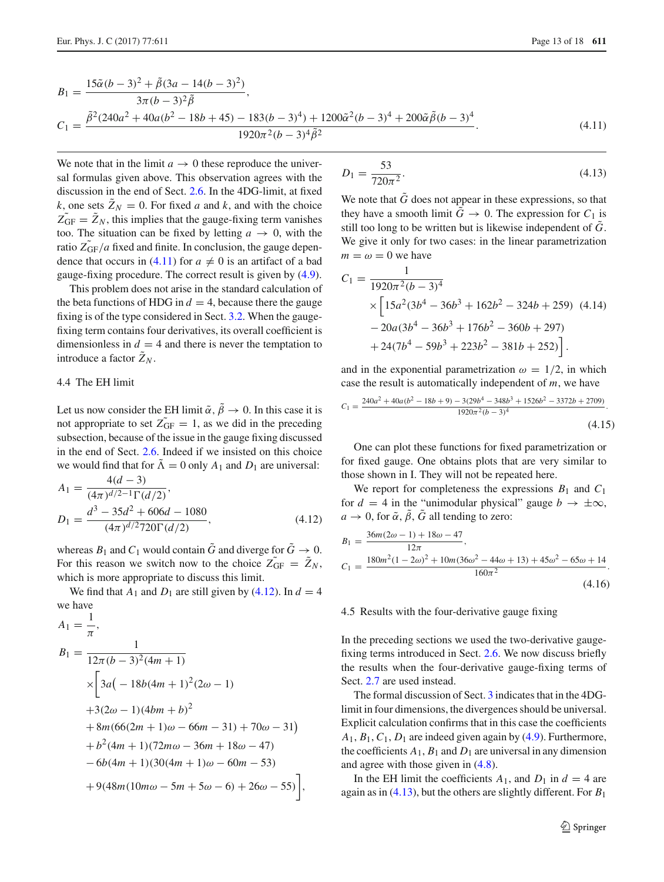<span id="page-12-2"></span>
$$
B_1 = \frac{15\tilde{\alpha}(b-3)^2 + \tilde{\beta}(3a - 14(b-3)^2)}{3\pi(b-3)^2\tilde{\beta}},
$$
  
\n
$$
C_1 = \frac{\tilde{\beta}^2(240a^2 + 40a(b^2 - 18b + 45) - 183(b-3)^4) + 1200\tilde{\alpha}^2(b-3)^4 + 200\tilde{\alpha}\tilde{\beta}(b-3)^4}{1920\pi^2(b-3)^4\tilde{\beta}^2}.
$$
\n(4.11)

We note that in the limit  $a \to 0$  these reproduce the universal formulas given above. This observation agrees with the discussion in the end of Sect. [2.6.](#page-6-4) In the 4DG-limit, at fixed *k*, one sets  $Z_N = 0$ . For fixed *a* and *k*, and with the choice  $Z_{\text{GF}} = Z_N$ , this implies that the gauge-fixing term vanishes too. The situation can be fixed by letting  $a \rightarrow 0$ , with the ratio  $Z_{GF}/a$  fixed and finite. In conclusion, the gauge depen-dence that occurs in [\(4.11\)](#page-12-2) for  $a \neq 0$  is an artifact of a bad gauge-fixing procedure. The correct result is given by [\(4.9\)](#page-11-2).

This problem does not arise in the standard calculation of the beta functions of HDG in  $d = 4$ , because there the gauge fixing is of the type considered in Sect. [3.2.](#page-8-1) When the gaugefixing term contains four derivatives, its overall coefficient is dimensionless in  $d = 4$  and there is never the temptation to introduce a factor  $\tilde{Z}_N$ .

## <span id="page-12-1"></span>4.4 The EH limit

Let us now consider the EH limit  $\tilde{\alpha}$ ,  $\tilde{\beta} \rightarrow 0$ . In this case it is not appropriate to set  $Z_{GF} = 1$ , as we did in the preceding subsection, because of the issue in the gauge fixing discussed in the end of Sect. [2.6.](#page-6-4) Indeed if we insisted on this choice we would find that for  $\tilde{\Lambda} = 0$  only  $A_1$  and  $D_1$  are universal:

<span id="page-12-3"></span>
$$
A_1 = \frac{4(d-3)}{(4\pi)^{d/2-1}\Gamma(d/2)},
$$
  
\n
$$
D_1 = \frac{d^3 - 35d^2 + 606d - 1080}{(4\pi)^{d/2}720\Gamma(d/2)},
$$
\n(4.12)

whereas  $B_1$  and  $C_1$  would contain  $\tilde{G}$  and diverge for  $\tilde{G} \rightarrow 0$ . For this reason we switch now to the choice  $Z_{GF} = Z_N$ , which is more appropriate to discuss this limit.

We find that  $A_1$  and  $D_1$  are still given by [\(4.12\)](#page-12-3). In  $d = 4$ we have

<span id="page-12-4"></span>
$$
A_1 = \frac{1}{\pi},
$$
  
\n
$$
B_1 = \frac{1}{12\pi(b-3)^2(4m+1)}
$$
  
\n
$$
\times \left[3a(-18b(4m+1)^2(2\omega - 1) + 3(2\omega - 1)(4bm + b)^2 + 8m(66(2m+1)\omega - 66m - 31) + 70\omega - 31) + b^2(4m+1)(72m\omega - 36m + 18\omega - 47) -6b(4m+1)(30(4m+1)\omega - 60m - 53) + 9(48m(10m\omega - 5m + 5\omega - 6) + 26\omega - 55)\right],
$$

$$
D_1 = \frac{53}{720\pi^2}.\tag{4.13}
$$

We note that  $\tilde{G}$  does not appear in these expressions, so that they have a smooth limit  $\tilde{G} \rightarrow 0$ . The expression for  $C_1$  is still too long to be written but is likewise independent of  $\tilde{G}$ . We give it only for two cases: in the linear parametrization  $m = \omega = 0$  we have

$$
C_1 = \frac{1}{1920\pi^2(b-3)^4}
$$
  
 
$$
\times \left[ 15a^2(3b^4 - 36b^3 + 162b^2 - 324b + 259) (4.14) -20a(3b^4 - 36b^3 + 176b^2 - 360b + 297) + 24(7b^4 - 59b^3 + 223b^2 - 381b + 252) \right].
$$

and in the exponential parametrization  $\omega = 1/2$ , in which case the result is automatically independent of *m*, we have

$$
C_1 = \frac{240a^2 + 40a(b^2 - 18b + 9) - 3(29b^4 - 348b^3 + 1526b^2 - 3372b + 2709)}{1920\pi^2(b - 3)^4}.
$$
\n
$$
(4.15)
$$

One can plot these functions for fixed parametrization or for fixed gauge. One obtains plots that are very similar to those shown in I. They will not be repeated here.

We report for completeness the expressions  $B_1$  and  $C_1$ for  $d = 4$  in the "unimodular physical" gauge  $b \rightarrow \pm \infty$ ,  $a \to 0$ , for  $\tilde{\alpha}$ ,  $\tilde{\beta}$ ,  $\tilde{G}$  all tending to zero:

<span id="page-12-5"></span>
$$
B_1 = \frac{36m(2\omega - 1) + 18\omega - 47}{12\pi},
$$
  
\n
$$
C_1 = \frac{180m^2(1 - 2\omega)^2 + 10m(36\omega^2 - 44\omega + 13) + 45\omega^2 - 65\omega + 14}{160\pi^2}.
$$
\n(4.16)

#### <span id="page-12-0"></span>4.5 Results with the four-derivative gauge fixing

In the preceding sections we used the two-derivative gaugefixing terms introduced in Sect. [2.6.](#page-6-4) We now discuss briefly the results when the four-derivative gauge-fixing terms of Sect. [2.7](#page-7-4) are used instead.

The formal discussion of Sect. [3](#page-8-0) indicates that in the 4DGlimit in four dimensions, the divergences should be universal. Explicit calculation confirms that in this case the coefficients  $A_1, B_1, C_1, D_1$  are indeed given again by  $(4.9)$ . Furthermore, the coefficients  $A_1$ ,  $B_1$  and  $D_1$  are universal in any dimension and agree with those given in [\(4.8\)](#page-11-3).

In the EH limit the coefficients  $A_1$ , and  $D_1$  in  $d = 4$  are again as in [\(4.13\)](#page-12-4), but the others are slightly different. For *B*<sup>1</sup>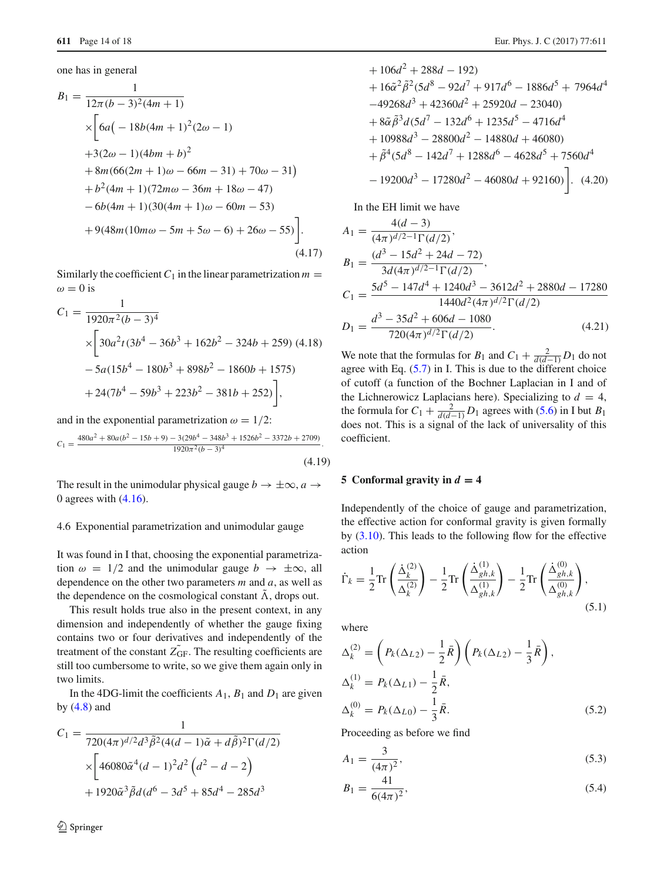one has in general

$$
B_1 = \frac{1}{12\pi(b-3)^2(4m+1)}
$$
  
\n
$$
\times \left[ 6a(-18b(4m+1)^2(2\omega - 1) +3(2\omega - 1)(4bm+b)^2 +8m(66(2m+1)\omega - 66m-31) +70\omega - 31) + b^2(4m+1)(72m\omega - 36m + 18\omega - 47) -6b(4m+1)(30(4m+1)\omega - 60m - 53) + 9(48m(10m\omega - 5m + 5\omega - 6) + 26\omega - 55) \right].
$$
  
\n(4.17)

Similarly the coefficient  $C_1$  in the linear parametrization  $m =$  $\omega = 0$  is

$$
C_1 = \frac{1}{1920\pi^2(b-3)^4}
$$
  
 
$$
\times \left[30a^2t(3b^4 - 36b^3 + 162b^2 - 324b + 259)(4.18) - 5a(15b^4 - 180b^3 + 898b^2 - 1860b + 1575) + 24(7b^4 - 59b^3 + 223b^2 - 381b + 252)\right],
$$

and in the exponential parametrization  $\omega = 1/2$ :

$$
C_1 = \frac{480a^2 + 80a(b^2 - 15b + 9) - 3(29b^4 - 348b^3 + 1526b^2 - 3372b + 2709)}{1920\pi^2(b - 3)^4}.
$$
\n
$$
(4.19)
$$

The result in the unimodular physical gauge  $b \to \pm \infty$ ,  $a \to$ 0 agrees with  $(4.16)$ .

#### 4.6 Exponential parametrization and unimodular gauge

It was found in I that, choosing the exponential parametrization  $\omega = 1/2$  and the unimodular gauge  $b \rightarrow \pm \infty$ , all dependence on the other two parameters *m* and *a*, as well as the dependence on the cosmological constant  $\Lambda$ , drops out.

This result holds true also in the present context, in any dimension and independently of whether the gauge fixing contains two or four derivatives and independently of the treatment of the constant  $Z_{GF}$ . The resulting coefficients are still too cumbersome to write, so we give them again only in two limits.

In the 4DG-limit the coefficients  $A_1$ ,  $B_1$  and  $D_1$  are given by  $(4.8)$  and

<span id="page-13-1"></span>
$$
C_1 = \frac{1}{720(4\pi)^{d/2}d^3\tilde{\beta}^2(4(d-1)\tilde{\alpha} + d\tilde{\beta})^2\Gamma(d/2)}
$$

$$
\times \left[46080\tilde{\alpha}^4(d-1)^2d^2\left(d^2 - d - 2\right) + 1920\tilde{\alpha}^3\tilde{\beta}d(d^6 - 3d^5 + 85d^4 - 285d^3)\right]
$$

$$
+ 106d2 + 288d - 192)
$$
  
+ 16 $\tilde{\alpha}^{2}$  $\tilde{\beta}^{2}$  $(5d8 - 92d7 + 917d6 - 1886d5 + 7964d4-49268d3 + 42360d2 + 25920d - 23040)+ 8 $\tilde{\alpha}$  $\tilde{\beta}^{3}d(5d7 - 132d6 + 1235d5 - 4716d4+ 10988d3 - 28800d2 - 14880d + 46080)+  $\tilde{\beta}^{4}(5d8 - 142d7 + 1288d6 - 4628d5 + 7560d4$   
- 19200d<sup>3</sup> - 17280d<sup>2</sup> - 46080d + 92160). (4.20)$$ 

In the EH limit we have

<span id="page-13-3"></span>
$$
A_1 = \frac{4(d-3)}{(4\pi)^{d/2-1}\Gamma(d/2)},
$$
  
\n
$$
B_1 = \frac{(d^3 - 15d^2 + 24d - 72)}{3d(4\pi)^{d/2-1}\Gamma(d/2)},
$$
  
\n
$$
C_1 = \frac{5d^5 - 147d^4 + 1240d^3 - 3612d^2 + 2880d - 17280}{1440d^2(4\pi)^{d/2}\Gamma(d/2)}
$$
  
\n
$$
D_1 = \frac{d^3 - 35d^2 + 606d - 1080}{720(4\pi)^{d/2}\Gamma(d/2)}.
$$
\n(4.21)

We note that the formulas for *B*<sub>1</sub> and  $C_1 + \frac{2}{d(d-1)}D_1$  do not agree with Eq.  $(5.7)$  in I. This is due to the different choice of cutoff (a function of the Bochner Laplacian in I and of the Lichnerowicz Laplacians here). Specializing to  $d = 4$ , the formula for  $C_1 + \frac{2}{d(d-1)}D_1$  agrees with [\(5.6\)](#page-13-2) in I but *B*<sub>1</sub> does not. This is a signal of the lack of universality of this coefficient.

## <span id="page-13-0"></span>**5** Conformal gravity in  $d = 4$

Independently of the choice of gauge and parametrization, the effective action for conformal gravity is given formally by [\(3.10\)](#page-9-0). This leads to the following flow for the effective action

$$
\dot{\Gamma}_k = \frac{1}{2} \text{Tr} \left( \frac{\dot{\Delta}_k^{(2)}}{\Delta_k^{(2)}} \right) - \frac{1}{2} \text{Tr} \left( \frac{\dot{\Delta}_{gh,k}^{(1)}}{\Delta_{gh,k}^{(1)}} \right) - \frac{1}{2} \text{Tr} \left( \frac{\dot{\Delta}_{gh,k}^{(0)}}{\Delta_{gh,k}^{(0)}} \right), \tag{5.1}
$$

where

$$
\Delta_k^{(2)} = \left( P_k(\Delta_{L2}) - \frac{1}{2} \bar{R} \right) \left( P_k(\Delta_{L2}) - \frac{1}{3} \bar{R} \right),
$$
  
\n
$$
\Delta_k^{(1)} = P_k(\Delta_{L1}) - \frac{1}{2} \bar{R},
$$
  
\n
$$
\Delta_k^{(0)} = P_k(\Delta_{L0}) - \frac{1}{3} \bar{R}.
$$
\n(5.2)

Proceeding as before we find

<span id="page-13-2"></span>
$$
A_1 = \frac{3}{(4\pi)^2},\tag{5.3}
$$

$$
B_1 = \frac{41}{6(4\pi)^2},\tag{5.4}
$$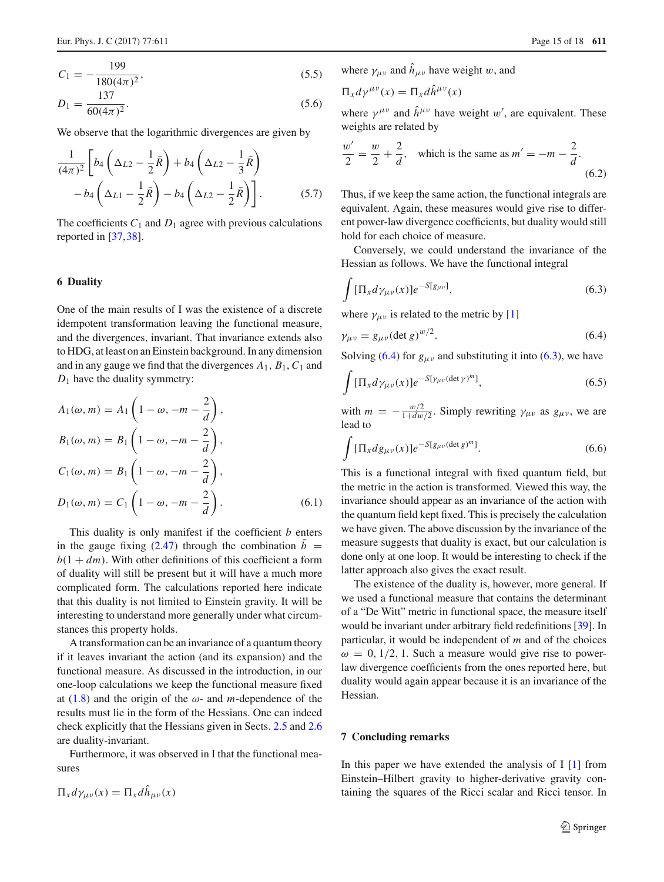$$
C_1 = -\frac{199}{180(4\pi)^2},\tag{5.5}
$$

$$
D_1 = \frac{137}{60(4\pi)^2}.
$$
\n(5.6)

We observe that the logarithmic divergences are given by

<span id="page-14-2"></span>
$$
\frac{1}{(4\pi)^2} \left[ b_4 \left( \Delta_{L2} - \frac{1}{2} \bar{R} \right) + b_4 \left( \Delta_{L2} - \frac{1}{3} \bar{R} \right) - b_4 \left( \Delta_{L1} - \frac{1}{2} \bar{R} \right) - b_4 \left( \Delta_{L2} - \frac{1}{2} \bar{R} \right) \right].
$$
\n(5.7)

The coefficients  $C_1$  and  $D_1$  agree with previous calculations reported in [\[37](#page-17-1),[38](#page-17-2)].

#### <span id="page-14-0"></span>**6 Duality**

One of the main results of I was the existence of a discrete idempotent transformation leaving the functional measure, and the divergences, invariant. That invariance extends also to HDG, at least on an Einstein background. In any dimension and in any gauge we find that the divergences  $A_1$ ,  $B_1$ ,  $C_1$  and *D*<sub>1</sub> have the duality symmetry:

$$
A_1(\omega, m) = A_1 \left( 1 - \omega, -m - \frac{2}{d} \right),
$$
  
\n
$$
B_1(\omega, m) = B_1 \left( 1 - \omega, -m - \frac{2}{d} \right),
$$
  
\n
$$
C_1(\omega, m) = B_1 \left( 1 - \omega, -m - \frac{2}{d} \right),
$$
  
\n
$$
D_1(\omega, m) = C_1 \left( 1 - \omega, -m - \frac{2}{d} \right).
$$
 (6.1)

This duality is only manifest if the coefficient *b* enters in the gauge fixing [\(2.47\)](#page-6-1) through the combination  $\bar{b}$  =  $b(1 + dm)$ . With other definitions of this coefficient a form of duality will still be present but it will have a much more complicated form. The calculations reported here indicate that this duality is not limited to Einstein gravity. It will be interesting to understand more generally under what circumstances this property holds.

A transformation can be an invariance of a quantum theory if it leaves invariant the action (and its expansion) and the functional measure. As discussed in the introduction, in our one-loop calculations we keep the functional measure fixed at  $(1.8)$  and the origin of the  $\omega$ - and *m*-dependence of the results must lie in the form of the Hessians. One can indeed check explicitly that the Hessians given in Sects. [2.5](#page-4-3) and [2.6](#page-6-4) are duality-invariant.

Furthermore, it was observed in I that the functional measures

$$
\Pi_x d\gamma_{\mu\nu}(x) = \Pi_x d\hat{h}_{\mu\nu}(x)
$$

where  $\gamma_{\mu\nu}$  and  $\hat{h}_{\mu\nu}$  have weight w, and

$$
\Pi_x d\gamma^{\mu\nu}(x) = \Pi_x d\hat{h}^{\mu\nu}(x)
$$

where  $\gamma^{\mu\nu}$  and  $\hat{h}^{\mu\nu}$  have weight w', are equivalent. These weights are related by

$$
\frac{w'}{2} = \frac{w}{2} + \frac{2}{d}, \quad \text{which is the same as } m' = -m - \frac{2}{d}.
$$
\n
$$
(6.2)
$$

Thus, if we keep the same action, the functional integrals are equivalent. Again, these measures would give rise to different power-law divergence coefficients, but duality would still hold for each choice of measure.

Conversely, we could understand the invariance of the Hessian as follows. We have the functional integral

<span id="page-14-4"></span>
$$
\int [\Pi_x d\gamma_{\mu\nu}(x)] e^{-S[g_{\mu\nu}]}.
$$
\n(6.3)

where  $\gamma_{\mu\nu}$  is related to the metric by [\[1\]](#page-16-0)

<span id="page-14-3"></span>
$$
\gamma_{\mu\nu} = g_{\mu\nu} (\det g)^{w/2}.
$$
\n(6.4)

Solving [\(6.4\)](#page-14-3) for  $g_{\mu\nu}$  and substituting it into [\(6.3\)](#page-14-4), we have

$$
\int [\Pi_x d\gamma_{\mu\nu}(x)] e^{-S[\gamma_{\mu\nu}(\det \gamma)^m]}, \tag{6.5}
$$

with  $m = -\frac{w/2}{1+dw/2}$ . Simply rewriting  $\gamma_{\mu\nu}$  as  $g_{\mu\nu}$ , we are lead to

$$
\int [\Pi_x dg_{\mu\nu}(x)]e^{-S[g_{\mu\nu}(\det g)^m]}.
$$
\n(6.6)

This is a functional integral with fixed quantum field, but the metric in the action is transformed. Viewed this way, the invariance should appear as an invariance of the action with the quantum field kept fixed. This is precisely the calculation we have given. The above discussion by the invariance of the measure suggests that duality is exact, but our calculation is done only at one loop. It would be interesting to check if the latter approach also gives the exact result.

The existence of the duality is, however, more general. If we used a functional measure that contains the determinant of a "De Witt" metric in functional space, the measure itself would be invariant under arbitrary field redefinitions [\[39](#page-17-3)]. In particular, it would be independent of *m* and of the choices  $\omega = 0, 1/2, 1$ . Such a measure would give rise to powerlaw divergence coefficients from the ones reported here, but duality would again appear because it is an invariance of the Hessian.

## <span id="page-14-1"></span>**7 Concluding remarks**

In this paper we have extended the analysis of  $I$  [\[1\]](#page-16-0) from Einstein–Hilbert gravity to higher-derivative gravity containing the squares of the Ricci scalar and Ricci tensor. In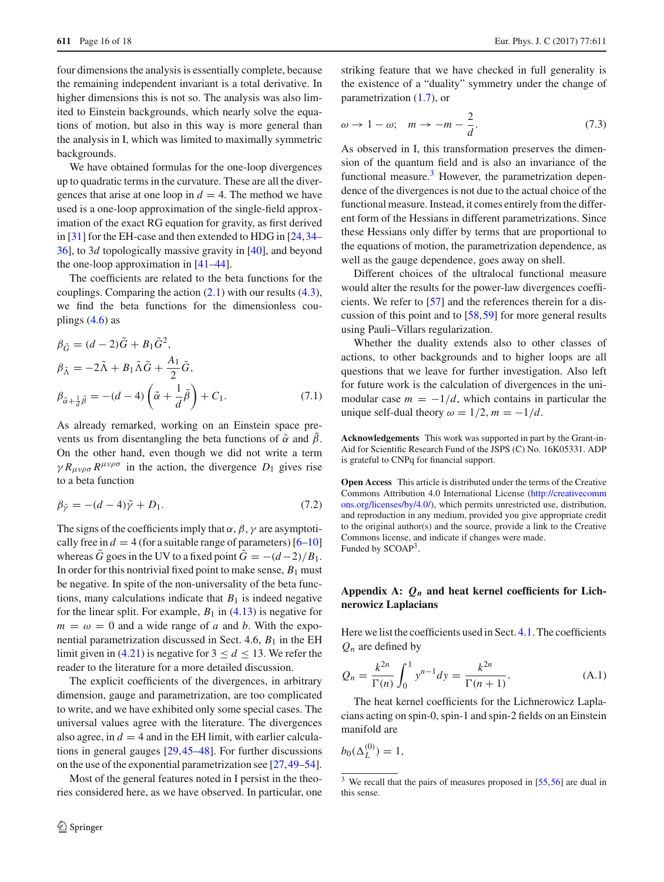four dimensions the analysis is essentially complete, because the remaining independent invariant is a total derivative. In higher dimensions this is not so. The analysis was also limited to Einstein backgrounds, which nearly solve the equations of motion, but also in this way is more general than the analysis in I, which was limited to maximally symmetric backgrounds.

We have obtained formulas for the one-loop divergences up to quadratic terms in the curvature. These are all the divergences that arise at one loop in  $d = 4$ . The method we have used is a one-loop approximation of the single-field approximation of the exact RG equation for gravity, as first derived in [\[31\]](#page-16-23) for the EH-case and then extended to HDG in [\[24](#page-16-16)[,34](#page-16-26)– [36\]](#page-17-0), to 3*d* topologically massive gravity in [\[40](#page-17-4)], and beyond the one-loop approximation in [\[41](#page-17-5)[–44\]](#page-17-6).

The coefficients are related to the beta functions for the couplings. Comparing the action  $(2.1)$  with our results  $(4.3)$ , we find the beta functions for the dimensionless couplings  $(4.6)$  as

$$
\beta_{\tilde{G}} = (d - 2)\tilde{G} + B_1 \tilde{G}^2,
$$
  
\n
$$
\beta_{\tilde{\Lambda}} = -2\tilde{\Lambda} + B_1 \tilde{\Lambda} \tilde{G} + \frac{A_1}{2} \tilde{G},
$$
  
\n
$$
\beta_{\tilde{\alpha} + \frac{1}{d}\tilde{\beta}} = -(d - 4) \left( \tilde{\alpha} + \frac{1}{d} \tilde{\beta} \right) + C_1.
$$
\n(7.1)

As already remarked, working on an Einstein space prevents us from disentangling the beta functions of  $\tilde{\alpha}$  and  $\tilde{\beta}$ . On the other hand, even though we did not write a term  $\gamma R_{\mu\nu\rho\sigma} R^{\mu\nu\rho\sigma}$  in the action, the divergence  $D_1$  gives rise to a beta function

$$
\beta_{\tilde{\gamma}} = -(d-4)\tilde{\gamma} + D_1. \tag{7.2}
$$

The signs of the coefficients imply that  $\alpha$ ,  $\beta$ ,  $\gamma$  are asymptotically free in  $d = 4$  (for a suitable range of parameters) [\[6](#page-16-2)[–10\]](#page-16-3) whereas  $\ddot{G}$  goes in the UV to a fixed point  $\ddot{G} = -(d-2)/B_1$ . In order for this nontrivial fixed point to make sense,  $B_1$  must be negative. In spite of the non-universality of the beta functions, many calculations indicate that  $B_1$  is indeed negative for the linear split. For example,  $B_1$  in [\(4.13\)](#page-12-4) is negative for  $m = \omega = 0$  and a wide range of *a* and *b*. With the exponential parametrization discussed in Sect. 4.6,  $B_1$  in the EH limit given in [\(4.21\)](#page-13-3) is negative for  $3 \le d \le 13$ . We refer the reader to the literature for a more detailed discussion.

The explicit coefficients of the divergences, in arbitrary dimension, gauge and parametrization, are too complicated to write, and we have exhibited only some special cases. The universal values agree with the literature. The divergences also agree, in  $d = 4$  and in the EH limit, with earlier calculations in general gauges [\[29](#page-16-21)[,45](#page-17-7)[–48](#page-17-8)]. For further discussions on the use of the exponential parametrization see [\[27](#page-16-19)[,49](#page-17-9)[–54](#page-17-10)].

Most of the general features noted in I persist in the theories considered here, as we have observed. In particular, one striking feature that we have checked in full generality is the existence of a "duality" symmetry under the change of parametrization [\(1.7\)](#page-1-6), or

$$
\omega \to 1 - \omega; \quad m \to -m - \frac{2}{d}.\tag{7.3}
$$

As observed in I, this transformation preserves the dimension of the quantum field and is also an invariance of the functional measure. $3$  However, the parametrization dependence of the divergences is not due to the actual choice of the functional measure. Instead, it comes entirely from the different form of the Hessians in different parametrizations. Since these Hessians only differ by terms that are proportional to the equations of motion, the parametrization dependence, as well as the gauge dependence, goes away on shell.

Different choices of the ultralocal functional measure would alter the results for the power-law divergences coefficients. We refer to [\[57\]](#page-17-11) and the references therein for a discussion of this point and to [\[58](#page-17-12)[,59](#page-17-13)] for more general results using Pauli–Villars regularization.

Whether the duality extends also to other classes of actions, to other backgrounds and to higher loops are all questions that we leave for further investigation. Also left for future work is the calculation of divergences in the unimodular case  $m = -1/d$ , which contains in particular the unique self-dual theory  $\omega = 1/2$ ,  $m = -1/d$ .

**Acknowledgements** This work was supported in part by the Grant-in-Aid for Scientific Research Fund of the JSPS (C) No. 16K05331. ADP is grateful to CNPq for financial support.

**Open Access** This article is distributed under the terms of the Creative Commons Attribution 4.0 International License [\(http://creativecomm](http://creativecommons.org/licenses/by/4.0/) [ons.org/licenses/by/4.0/\)](http://creativecommons.org/licenses/by/4.0/), which permits unrestricted use, distribution, and reproduction in any medium, provided you give appropriate credit to the original author(s) and the source, provide a link to the Creative Commons license, and indicate if changes were made. Funded by SCOAP<sup>3</sup>.

## **Appendix A:** *Qn* **and heat kernel coefficients for Lichnerowicz Laplacians**

Here we list the coefficients used in Sect. [4.1.](#page-10-5) The coefficients  $Q_n$  are defined by

$$
Q_n = \frac{k^{2n}}{\Gamma(n)} \int_0^1 y^{n-1} dy = \frac{k^{2n}}{\Gamma(n+1)}.
$$
 (A.1)

The heat kernel coefficients for the Lichnerowicz Laplacians acting on spin-0, spin-1 and spin-2 fields on an Einstein manifold are

 $b_0(\Delta_L^{(0)}) = 1,$ 

<span id="page-15-0"></span> $3\,$  We recall that the pairs of measures proposed in [\[55](#page-17-14)[,56\]](#page-17-15) are dual in this sense.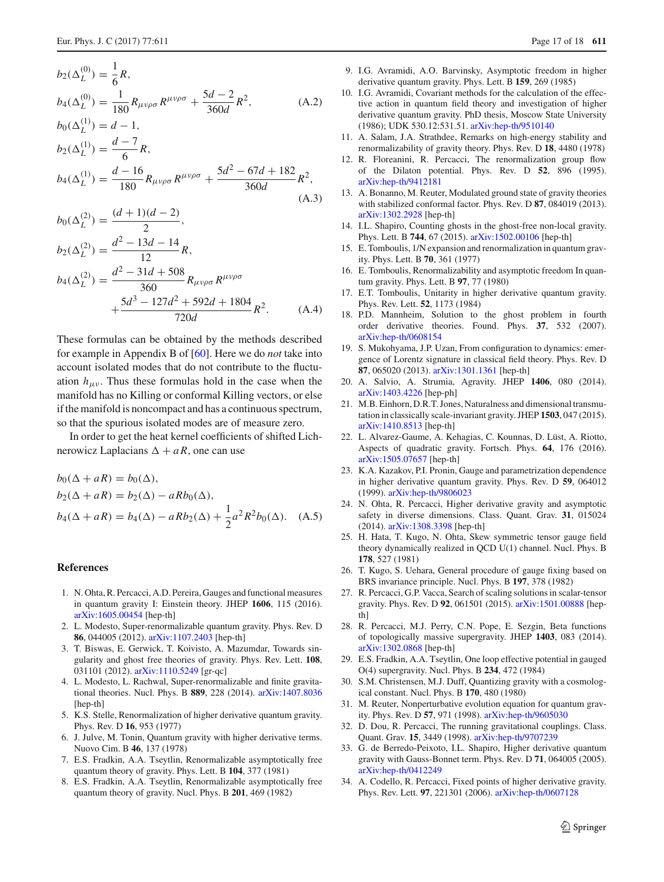$$
b_2(\Delta_L^{(0)}) = \frac{1}{6}R,
$$
  
\n
$$
b_4(\Delta_L^{(0)}) = \frac{1}{180}R_{\mu\nu\rho\sigma}R^{\mu\nu\rho\sigma} + \frac{5d - 2}{360d}R^2,
$$
\n(A.2)

$$
b_0(\Delta_L^{(1)}) = d - 1,
$$
  
\n
$$
b_2(\Delta_L^{(1)}) = \frac{d - 7}{6}R,
$$
  
\n
$$
b_4(\Delta_L^{(1)}) = \frac{d - 16}{180}R_{\mu\nu\rho\sigma}R^{\mu\nu\rho\sigma} + \frac{5d^2 - 67d + 182}{360d}R^2,
$$

 $(\Delta$  3)

$$
b_0(\Delta_L^{(2)}) = \frac{(d+1)(d-2)}{2},
$$
  
\n
$$
b_2(\Delta_L^{(2)}) = \frac{d^2 - 13d - 14}{12}R,
$$
  
\n
$$
b_4(\Delta_L^{(2)}) = \frac{d^2 - 31d + 508}{360}R_{\mu\nu\rho\sigma}R^{\mu\nu\rho\sigma}
$$
  
\n
$$
+\frac{5d^3 - 127d^2 + 592d + 1804}{720d}R^2.
$$
 (A.4)

These formulas can be obtained by the methods described for example in Appendix B of [\[60\]](#page-17-16). Here we do *not* take into account isolated modes that do not contribute to the fluctuation  $h_{\mu\nu}$ . Thus these formulas hold in the case when the manifold has no Killing or conformal Killing vectors, or else if the manifold is noncompact and has a continuous spectrum, so that the spurious isolated modes are of measure zero.

In order to get the heat kernel coefficients of shifted Lichnerowicz Laplacians  $\Delta + aR$ , one can use

$$
b_0(\Delta + aR) = b_0(\Delta),
$$
  
\n
$$
b_2(\Delta + aR) = b_2(\Delta) - aRb_0(\Delta),
$$
  
\n
$$
b_4(\Delta + aR) = b_4(\Delta) - aRb_2(\Delta) + \frac{1}{2}a^2R^2b_0(\Delta).
$$
 (A.5)

#### **References**

- <span id="page-16-0"></span>1. N. Ohta, R. Percacci, A.D. Pereira, Gauges and functional measures in quantum gravity I: Einstein theory. JHEP **1606**, 115 (2016). [arXiv:1605.00454](http://arxiv.org/abs/1605.00454) [hep-th]
- <span id="page-16-4"></span>2. L. Modesto, Super-renormalizable quantum gravity. Phys. Rev. D **86**, 044005 (2012). [arXiv:1107.2403](http://arxiv.org/abs/1107.2403) [hep-th]
- 3. T. Biswas, E. Gerwick, T. Koivisto, A. Mazumdar, Towards singularity and ghost free theories of gravity. Phys. Rev. Lett. **108**, 031101 (2012). [arXiv:1110.5249](http://arxiv.org/abs/1110.5249) [gr-qc]
- <span id="page-16-5"></span>4. L. Modesto, L. Rachwal, Super-renormalizable and finite gravitational theories. Nucl. Phys. B **889**, 228 (2014). [arXiv:1407.8036](http://arxiv.org/abs/1407.8036) [hep-th]
- <span id="page-16-1"></span>5. K.S. Stelle, Renormalization of higher derivative quantum gravity. Phys. Rev. D **16**, 953 (1977)
- <span id="page-16-2"></span>6. J. Julve, M. Tonin, Quantum gravity with higher derivative terms. Nuovo Cim. B **46**, 137 (1978)
- 7. E.S. Fradkin, A.A. Tseytlin, Renormalizable asymptotically free quantum theory of gravity. Phys. Lett. B **104**, 377 (1981)
- 8. E.S. Fradkin, A.A. Tseytlin, Renormalizable asymptotically free quantum theory of gravity. Nucl. Phys. B **201**, 469 (1982)
- <span id="page-16-15"></span>9. I.G. Avramidi, A.O. Barvinsky, Asymptotic freedom in higher derivative quantum gravity. Phys. Lett. B **159**, 269 (1985)
- <span id="page-16-3"></span>10. I.G. Avramidi, Covariant methods for the calculation of the effective action in quantum field theory and investigation of higher derivative quantum gravity. PhD thesis, Moscow State University (1986); UDK 530.12:531.51. [arXiv:hep-th/9510140](http://arxiv.org/abs/hep-th/9510140)
- <span id="page-16-6"></span>11. A. Salam, J.A. Strathdee, Remarks on high-energy stability and renormalizability of gravity theory. Phys. Rev. D **18**, 4480 (1978)
- <span id="page-16-7"></span>12. R. Floreanini, R. Percacci, The renormalization group flow of the Dilaton potential. Phys. Rev. D **52**, 896 (1995). [arXiv:hep-th/9412181](http://arxiv.org/abs/hep-th/9412181)
- <span id="page-16-8"></span>13. A. Bonanno, M. Reuter, Modulated ground state of gravity theories with stabilized conformal factor. Phys. Rev. D **87**, 084019 (2013). [arXiv:1302.2928](http://arxiv.org/abs/1302.2928) [hep-th]
- <span id="page-16-9"></span>14. I.L. Shapiro, Counting ghosts in the ghost-free non-local gravity. Phys. Lett. B **744**, 67 (2015). [arXiv:1502.00106](http://arxiv.org/abs/1502.00106) [hep-th]
- <span id="page-16-10"></span>15. E. Tomboulis, 1/N expansion and renormalization in quantum gravity. Phys. Lett. B **70**, 361 (1977)
- 16. E. Tomboulis, Renormalizability and asymptotic freedom In quantum gravity. Phys. Lett. B **97**, 77 (1980)
- 17. E.T. Tomboulis, Unitarity in higher derivative quantum gravity. Phys. Rev. Lett. **52**, 1173 (1984)
- 18. P.D. Mannheim, Solution to the ghost problem in fourth order derivative theories. Found. Phys. **37**, 532 (2007). [arXiv:hep-th/0608154](http://arxiv.org/abs/hep-th/0608154)
- <span id="page-16-11"></span>19. S. Mukohyama, J.P. Uzan, From configuration to dynamics: emergence of Lorentz signature in classical field theory. Phys. Rev. D **87**, 065020 (2013). [arXiv:1301.1361](http://arxiv.org/abs/1301.1361) [hep-th]
- <span id="page-16-12"></span>20. A. Salvio, A. Strumia, Agravity. JHEP **1406**, 080 (2014). [arXiv:1403.4226](http://arxiv.org/abs/1403.4226) [hep-ph]
- 21. M.B. Einhorn, D.R.T. Jones, Naturalness and dimensional transmutation in classically scale-invariant gravity. JHEP **1503**, 047 (2015). [arXiv:1410.8513](http://arxiv.org/abs/1410.8513) [hep-th]
- <span id="page-16-13"></span>22. L. Alvarez-Gaume, A. Kehagias, C. Kounnas, D. Lüst, A. Riotto, Aspects of quadratic gravity. Fortsch. Phys. **64**, 176 (2016). [arXiv:1505.07657](http://arxiv.org/abs/1505.07657) [hep-th]
- <span id="page-16-14"></span>23. K.A. Kazakov, P.I. Pronin, Gauge and parametrization dependence in higher derivative quantum gravity. Phys. Rev. D **59**, 064012 (1999). [arXiv:hep-th/9806023](http://arxiv.org/abs/hep-th/9806023)
- <span id="page-16-16"></span>24. N. Ohta, R. Percacci, Higher derivative gravity and asymptotic safety in diverse dimensions. Class. Quant. Grav. **31**, 015024 (2014). [arXiv:1308.3398](http://arxiv.org/abs/1308.3398) [hep-th]
- <span id="page-16-17"></span>25. H. Hata, T. Kugo, N. Ohta, Skew symmetric tensor gauge field theory dynamically realized in QCD U(1) channel. Nucl. Phys. B **178**, 527 (1981)
- <span id="page-16-18"></span>26. T. Kugo, S. Uehara, General procedure of gauge fixing based on BRS invariance principle. Nucl. Phys. B **197**, 378 (1982)
- <span id="page-16-19"></span>27. R. Percacci, G.P. Vacca, Search of scaling solutions in scalar-tensor gravity. Phys. Rev. D **92**, 061501 (2015). [arXiv:1501.00888](http://arxiv.org/abs/1501.00888) [hepth<sub>1</sub>
- <span id="page-16-20"></span>28. R. Percacci, M.J. Perry, C.N. Pope, E. Sezgin, Beta functions of topologically massive supergravity. JHEP **1403**, 083 (2014). [arXiv:1302.0868](http://arxiv.org/abs/1302.0868) [hep-th]
- <span id="page-16-21"></span>29. E.S. Fradkin, A.A. Tseytlin, One loop effective potential in gauged O(4) supergravity. Nucl. Phys. B **234**, 472 (1984)
- <span id="page-16-22"></span>30. S.M. Christensen, M.J. Duff, Quantizing gravity with a cosmological constant. Nucl. Phys. B **170**, 480 (1980)
- <span id="page-16-23"></span>31. M. Reuter, Nonperturbative evolution equation for quantum gravity. Phys. Rev. D **57**, 971 (1998). [arXiv:hep-th/9605030](http://arxiv.org/abs/hep-th/9605030)
- <span id="page-16-24"></span>32. D. Dou, R. Percacci, The running gravitational couplings. Class. Quant. Grav. **15**, 3449 (1998). [arXiv:hep-th/9707239](http://arxiv.org/abs/hep-th/9707239)
- <span id="page-16-25"></span>33. G. de Berredo-Peixoto, I.L. Shapiro, Higher derivative quantum gravity with Gauss-Bonnet term. Phys. Rev. D **71**, 064005 (2005). [arXiv:hep-th/0412249](http://arxiv.org/abs/hep-th/0412249)
- <span id="page-16-26"></span>34. A. Codello, R. Percacci, Fixed points of higher derivative gravity. Phys. Rev. Lett. **97**, 221301 (2006). [arXiv:hep-th/0607128](http://arxiv.org/abs/hep-th/0607128)